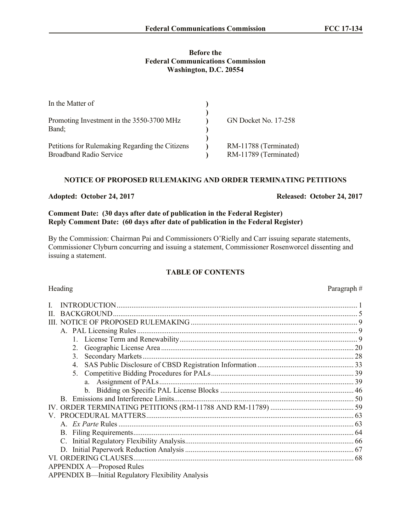#### **Before the Federal Communications Commission Washington, D.C. 20554**

| In the Matter of                                                                  |                                                |
|-----------------------------------------------------------------------------------|------------------------------------------------|
| Promoting Investment in the 3550-3700 MHz<br>Band;                                | <b>GN Docket No. 17-258</b>                    |
| Petitions for Rulemaking Regarding the Citizens<br><b>Broadband Radio Service</b> | RM-11788 (Terminated)<br>RM-11789 (Terminated) |

### **NOTICE OF PROPOSED RULEMAKING AND ORDER TERMINATING PETITIONS**

#### **Adopted: October 24, 2017 Released: October 24, 2017**

## **Comment Date: (30 days after date of publication in the Federal Register) Reply Comment Date: (60 days after date of publication in the Federal Register)**

By the Commission: Chairman Pai and Commissioners O'Rielly and Carr issuing separate statements, Commissioner Clyburn concurring and issuing a statement, Commissioner Rosenworcel dissenting and issuing a statement.

## **TABLE OF CONTENTS**

#### Heading Paragraph #

| $\mathbf{H}$                     |  |
|----------------------------------|--|
|                                  |  |
|                                  |  |
|                                  |  |
|                                  |  |
| 3.                               |  |
|                                  |  |
|                                  |  |
|                                  |  |
|                                  |  |
|                                  |  |
|                                  |  |
|                                  |  |
|                                  |  |
|                                  |  |
|                                  |  |
|                                  |  |
|                                  |  |
|                                  |  |
| <b>APPENDIX A—Proposed Rules</b> |  |

APPENDIX B—Initial Regulatory Flexibility Analysis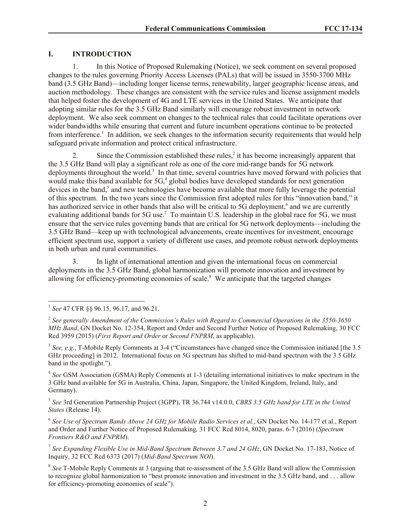#### **I. INTRODUCTION**

1. In this Notice of Proposed Rulemaking (Notice), we seek comment on several proposed changes to the rules governing Priority Access Licenses (PALs) that will be issued in 3550-3700 MHz band (3.5 GHz Band)—including longer license terms, renewability, larger geographic license areas, and auction methodology. These changes are consistent with the service rules and license assignment models that helped foster the development of 4G and LTE services in the United States. We anticipate that adopting similar rules for the 3.5 GHz Band similarly will encourage robust investment in network deployment. We also seek comment on changes to the technical rules that could facilitate operations over wider bandwidths while ensuring that current and future incumbent operations continue to be protected from interference.<sup>1</sup> In addition, we seek changes to the information security requirements that would help safeguard private information and protect critical infrastructure.

2. Since the Commission established these rules,<sup>2</sup> it has become increasingly apparent that the 3.5 GHz Band will play a significant role as one of the core mid-range bands for 5G network deployments throughout the world.<sup>3</sup> In that time, several countries have moved forward with policies that would make this band available for 5G,<sup>4</sup> global bodies have developed standards for next generation devices in the band,<sup>5</sup> and new technologies have become available that more fully leverage the potential of this spectrum. In the two years since the Commission first adopted rules for this "innovation band," it has authorized service in other bands that also will be critical to 5G deployment,<sup>6</sup> and we are currently evaluating additional bands for 5G use.<sup>7</sup> To maintain U.S. leadership in the global race for 5G, we must ensure that the service rules governing bands that are critical for 5G network deployments—including the 3.5 GHz Band—keep up with technological advancements, create incentives for investment, encourage efficient spectrum use, support a variety of different use cases, and promote robust network deployments in both urban and rural communities.

3. In light of international attention and given the international focus on commercial deployments in the 3.5 GHz Band, global harmonization will promote innovation and investment by allowing for efficiency-promoting economies of scale.<sup>8</sup> We anticipate that the targeted changes

<sup>3</sup> See, e.g., T-Mobile Reply Comments at 3-4 ("Circumstances have changed since the Commission initiated [the 3.5 GHz proceeding] in 2012. International focus on 5G spectrum has shifted to mid-band spectrum with the 3.5 GHz band in the spotlight.").

4 *See* GSM Association (GSMA) Reply Comments at 1-3 (detailing international initiatives to make spectrum in the 3 GHz band available for 5G in Australia, China, Japan, Singapore, the United Kingdom, Ireland, Italy, and Germany).

5 *See* 3rd Generation Partnership Project (3GPP), TR 36.744 v14.0.0, *CBRS 3.5 GHz band for LTE in the United States* (Release 14).

6 *See Use of Spectrum Bands Above 24 GHz for Mobile Radio Services et al.*, GN Docket No. 14-177 et al., Report and Order and Further Notice of Proposed Rulemaking*,* 31 FCC Rcd 8014, 8020, paras. 6-7 (2016) (*Spectrum Frontiers R&O and FNPRM*).

7 *See Expanding Flexible Use in Mid-Band Spectrum Between 3.7 and 24 GHz*, GN Docket No. 17-183, Notice of Inquiry, 32 FCC Rcd 6373 (2017) (*Mid-Band Spectrum NOI*).

<sup>8</sup> See T-Mobile Reply Comments at 3 (arguing that re-assessment of the 3.5 GHz Band will allow the Commission to recognize global harmonization to "best promote innovation and investment in the 3.5 GHz band, and . . . allow for efficiency-promoting economies of scale").

 1 *See* 47 CFR §§ 96.15, 96.17, and 96.21.

<sup>2</sup> *See generally Amendment of the Commission's Rules with Regard to Commercial Operations in the 3550-3650 MHz Band*, GN Docket No. 12-354, Report and Order and Second Further Notice of Proposed Rulemaking, 30 FCC Rcd 3959 (2015) (*First Report and Order* or *Second FNPRM*, as applicable).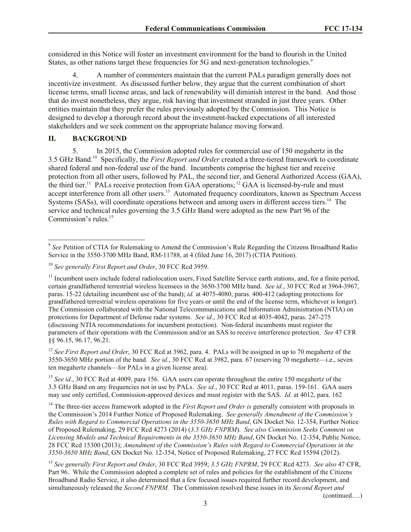considered in this Notice will foster an investment environment for the band to flourish in the United States, as other nations target these frequencies for 5G and next-generation technologies.<sup>9</sup>

4. A number of commenters maintain that the current PALs paradigm generally does not incentivize investment. As discussed further below, they argue that the current combination of short license terms, small license areas, and lack of renewability will diminish interest in the band. And those that do invest nonetheless, they argue, risk having that investment stranded in just three years. Other entities maintain that they prefer the rules previously adopted by the Commission. This Notice is designed to develop a thorough record about the investment-backed expectations of all interested stakeholders and we seek comment on the appropriate balance moving forward.

### **II. BACKGROUND**

l

5. In 2015, the Commission adopted rules for commercial use of 150 megahertz in the 3.5 GHz Band.<sup>10</sup> Specifically, the *First Report and Order* created a three-tiered framework to coordinate shared federal and non-federal use of the band. Incumbents comprise the highest tier and receive protection from all other users, followed by PAL, the second tier, and General Authorized Access (GAA), the third tier.<sup>11</sup> PALs receive protection from GAA operations; <sup>12</sup> GAA is licensed-by-rule and must accept interference from all other users.<sup>13</sup> Automated frequency coordinators, known as Spectrum Access Systems (SASs), will coordinate operations between and among users in different access tiers.<sup>14</sup> The service and technical rules governing the 3.5 GHz Band were adopted as the new Part 96 of the Commission's rules.<sup>15</sup>

<sup>12</sup> *See First Report and Order*, 30 FCC Rcd at 3962, para. 4. PALs will be assigned in up to 70 megahertz of the 3550-3650 MHz portion of the band. *See id.*, 30 FCC Rcd at 3982, para. 67 (reserving 70 megahertz—i.e., seven ten megahertz channels—for PALs in a given license area).

<sup>13</sup> *See id.*, 30 FCC Rcd at 4009, para 156. GAA users can operate throughout the entire 150 megahertz of the 3.5 GHz Band on any frequencies not in use by PALs. *See id.*, 30 FCC Rcd at 4011, paras. 159-161. GAA users may use only certified, Commission-approved devices and must register with the SAS. *Id.* at 4012, para. 162

<sup>14</sup> The three-tier access framework adopted in the *First Report and Order is* generally consistent with proposals in the Commission's 2014 Further Notice of Proposed Rulemaking. *See generally Amendment of the Commission's Rules with Regard to Commercial Operations in the 3550-3650 MHz Band*, GN Docket No. 12-354, Further Notice of Proposed Rulemaking, 29 FCC Rcd 4273 (2014) (*3.5 GHz FNPRM*). *See also Commission Seeks Comment on Licensing Models and Technical Requirements in the 3550-3650 MHz Band*, GN Docket No. 12-354, Public Notice, 28 FCC Rcd 15300 (2013); *Amendment of the Commission's Rules with Regard to Commercial Operations in the 3550-3650 MHz Band*, GN Docket No. 12-354, Notice of Proposed Rulemaking, 27 FCC Rcd 15594 (2012).

<sup>15</sup> *See generally First Report and Order*, 30 FCC Rcd 3959; *3.5 GHz FNPRM*, 29 FCC Rcd 4273. *See also* 47 CFR, Part 96. While the Commission adopted a complete set of rules and policies for the establishment of the Citizens Broadband Radio Service, it also determined that a few focused issues required further record development, and simultaneously released the *Second FNPRM.* The Commission resolved these issues in its *Second Report and* 

(continued….)

<sup>&</sup>lt;sup>9</sup> See Petition of CTIA for Rulemaking to Amend the Commission's Rule Regarding the Citizens Broadband Radio Service in the 3550-3700 MHz Band, RM-11788, at 4 (filed June 16, 2017) (CTIA Petition).

<sup>10</sup> *See generally First Report and Order*, 30 FCC Rcd 3959.

 $11$  Incumbent users include federal radiolocation users. Fixed Satellite Service earth stations, and, for a finite period, certain grandfathered terrestrial wireless licensees in the 3650-3700 MHz band. *See id.*, 30 FCC Rcd at 3964-3967, paras. 15-22 (detailing incumbent use of the band); *id.* at 4075-4080, paras. 400-412 (adopting protections for grandfathered terrestrial wireless operations for five years or until the end of the license term, whichever is longer). The Commission collaborated with the National Telecommunications and Information Administration (NTIA) on protections for Department of Defense radar systems. *See id.*, 30 FCC Rcd at 4035-4042, paras. 247-275 (discussing NTIA recommendations for incumbent protection). Non-federal incumbents must register the parameters of their operations with the Commission and/or an SAS to receive interference protection. *See* 47 CFR §§ 96.15, 96.17, 96.21.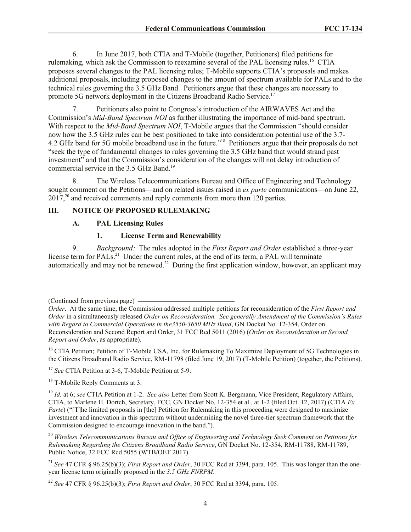6. In June 2017, both CTIA and T-Mobile (together, Petitioners) filed petitions for rulemaking, which ask the Commission to reexamine several of the PAL licensing rules.<sup>16</sup> CTIA proposes several changes to the PAL licensing rules; T-Mobile supports CTIA's proposals and makes additional proposals, including proposed changes to the amount of spectrum available for PALs and to the technical rules governing the 3.5 GHz Band. Petitioners argue that these changes are necessary to promote 5G network deployment in the Citizens Broadband Radio Service.<sup>17</sup>

7. Petitioners also point to Congress's introduction of the AIRWAVES Act and the Commission's *Mid-Band Spectrum NOI* as further illustrating the importance of mid-band spectrum. With respect to the *Mid-Band Spectrum NOI*, T-Mobile argues that the Commission "should consider now how the 3.5 GHz rules can be best positioned to take into consideration potential use of the 3.7- 4.2 GHz band for 5G mobile broadband use in the future."<sup>18</sup> Petitioners argue that their proposals do not "seek the type of fundamental changes to rules governing the 3.5 GHz band that would strand past investment" and that the Commission's consideration of the changes will not delay introduction of commercial service in the 3.5 GHz Band.<sup>19</sup>

8. The Wireless Telecommunications Bureau and Office of Engineering and Technology sought comment on the Petitions—and on related issues raised in *ex parte* communications—on June 22,  $2017<sup>20</sup>$  and received comments and reply comments from more than 120 parties.

# **III. NOTICE OF PROPOSED RULEMAKING**

### **A. PAL Licensing Rules**

### **1. License Term and Renewability**

9. *Background:* The rules adopted in the *First Report and Order* established a three-year license term for PALs.<sup>21</sup> Under the current rules, at the end of its term, a PAL will terminate automatically and may not be renewed.<sup>22</sup> During the first application window, however, an applicant may

<sup>16</sup> CTIA Petition; Petition of T-Mobile USA, Inc. for Rulemaking To Maximize Deployment of 5G Technologies in the Citizens Broadband Radio Service, RM-11798 (filed June 19, 2017) (T-Mobile Petition) (together, the Petitions).

<sup>17</sup> *See* CTIA Petition at 3-6, T-Mobile Petition at 5-9.

<sup>18</sup> T-Mobile Reply Comments at 3.

<sup>19</sup> *Id.* at 6; *see* CTIA Petition at 1-2. *See also* Letter from Scott K. Bergmann, Vice President, Regulatory Affairs, CTIA, to Marlene H. Dortch, Secretary, FCC, GN Docket No. 12-354 et al., at 1-2 (filed Oct. 12, 2017) (CTIA *Ex Parte*) ("[T]he limited proposals in [the] Petition for Rulemaking in this proceeding were designed to maximize investment and innovation in this spectrum without undermining the novel three-tier spectrum framework that the Commission designed to encourage innovation in the band.").

<sup>20</sup> *Wireless Telecommunications Bureau and Office of Engineering and Technology Seek Comment on Petitions for Rulemaking Regarding the Citizens Broadband Radio Service*, GN Docket No. 12-354, RM-11788, RM-11789, Public Notice, 32 FCC Rcd 5055 (WTB/OET 2017).

<sup>21</sup> *See* 47 CFR § 96.25(b)(3); *First Report and Order*, 30 FCC Rcd at 3394, para. 105. This was longer than the oneyear license term originally proposed in the *3.5 GHz FNRPM*.

<sup>22</sup> *See* 47 CFR § 96.25(b)(3); *First Report and Order*, 30 FCC Rcd at 3394, para. 105.

<sup>(</sup>Continued from previous page)

*Order*. At the same time, the Commission addressed multiple petitions for reconsideration of the *First Report and Order* in a simultaneously released *Order on Reconsideration. See generally Amendment of the Commission's Rules with Regard to Commercial Operations in the3550-3650 MHz Band*, GN Docket No. 12-354, Order on Reconsideration and Second Report and Order, 31 FCC Rcd 5011 (2016) (*Order on Reconsideration* or *Second Report and Order*, as appropriate).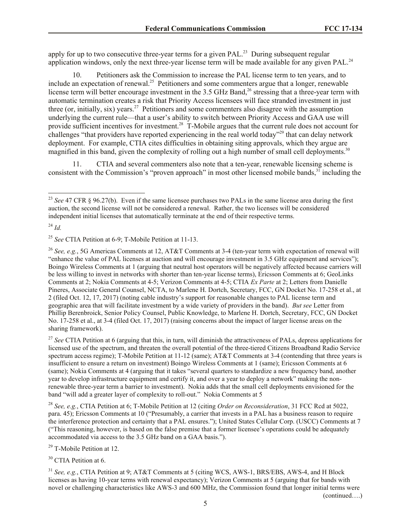apply for up to two consecutive three-year terms for a given  $PAL^{23}$  During subsequent regular application windows, only the next three-year license term will be made available for any given  $PAL<sup>24</sup>$ 

10. Petitioners ask the Commission to increase the PAL license term to ten years, and to include an expectation of renewal.<sup>25</sup> Petitioners and some commenters argue that a longer, renewable license term will better encourage investment in the 3.5 GHz Band,<sup>26</sup> stressing that a three-year term with automatic termination creates a risk that Priority Access licensees will face stranded investment in just three (or, initially, six) years.<sup>27</sup> Petitioners and some commenters also disagree with the assumption underlying the current rule—that a user's ability to switch between Priority Access and GAA use will provide sufficient incentives for investment.<sup>28</sup> T-Mobile argues that the current rule does not account for challenges "that providers have reported experiencing in the real world today"<sup>29</sup> that can delay network deployment. For example, CTIA cites difficulties in obtaining siting approvals, which they argue are magnified in this band, given the complexity of rolling out a high number of small cell deployments.<sup>30</sup>

11. CTIA and several commenters also note that a ten-year, renewable licensing scheme is consistent with the Commission's "proven approach" in most other licensed mobile bands,<sup>31</sup> including the

<sup>24</sup> *Id.*

l

<sup>26</sup> *See, e.g.*, 5G Americas Comments at 12, AT&T Comments at 3-4 (ten-year term with expectation of renewal will "enhance the value of PAL licenses at auction and will encourage investment in 3.5 GHz equipment and services"); Boingo Wireless Comments at 1 (arguing that neutral host operators will be negatively affected because carriers will be less willing to invest in networks with shorter than ten-year license terms), Ericsson Comments at 6; GeoLinks Comments at 2; Nokia Comments at 4-5; Verizon Comments at 4-5; CTIA *Ex Parte* at 2; Letters from Danielle Pineres, Associate General Counsel, NCTA, to Marlene H. Dortch, Secretary, FCC, GN Docket No. 17-258 et al., at 2 (filed Oct. 12, 17, 2017) (noting cable industry's support for reasonable changes to PAL license term and geographic area that will facilitate investment by a wide variety of providers in the band). *But see* Letter from Phillip Berenbroick, Senior Policy Counsel, Public Knowledge, to Marlene H. Dortch, Secretary, FCC, GN Docket No. 17-258 et al., at 3-4 (filed Oct. 17, 2017) (raising concerns about the impact of larger license areas on the sharing framework).

<sup>27</sup> See CTIA Petition at 6 (arguing that this, in turn, will diminish the attractiveness of PALs, depress applications for licensed use of the spectrum, and threaten the overall potential of the three-tiered Citizens Broadband Radio Service spectrum access regime); T-Mobile Petition at 11-12 (same); AT&T Comments at 3-4 (contending that three years is insufficient to ensure a return on investment) Boingo Wireless Comments at 1 (same); Ericsson Comments at 6 (same); Nokia Comments at 4 (arguing that it takes "several quarters to standardize a new frequency band, another year to develop infrastructure equipment and certify it, and over a year to deploy a network" making the nonrenewable three-year term a barrier to investment). Nokia adds that the small cell deployments envisioned for the band "will add a greater layer of complexity to roll-out." Nokia Comments at 5

<sup>28</sup> *See, e.g.*, CTIA Petition at 6; T-Mobile Petition at 12 (citing *Order on Reconsideration*, 31 FCC Rcd at 5022, para. 45); Ericsson Comments at 10 ("Presumably, a carrier that invests in a PAL has a business reason to require the interference protection and certainty that a PAL ensures."); United States Cellular Corp. (USCC) Comments at 7 ("This reasoning, however, is based on the false premise that a former licensee's operations could be adequately accommodated via access to the 3.5 GHz band on a GAA basis.").

<sup>29</sup> T-Mobile Petition at 12.

<sup>30</sup> CTIA Petition at 6.

<sup>31</sup> See, e.g., CTIA Petition at 9; AT&T Comments at 5 (citing WCS, AWS-1, BRS/EBS, AWS-4, and H Block licenses as having 10-year terms with renewal expectancy); Verizon Comments at 5 (arguing that for bands with novel or challenging characteristics like AWS-3 and 600 MHz, the Commission found that longer initial terms were

(continued….)

<sup>23</sup> *See* 47 CFR § 96.27(b). Even if the same licensee purchases two PALs in the same license area during the first auction, the second license will not be considered a renewal. Rather, the two licenses will be considered independent initial licenses that automatically terminate at the end of their respective terms.

<sup>25</sup> *See* CTIA Petition at 6-9; T-Mobile Petition at 11-13.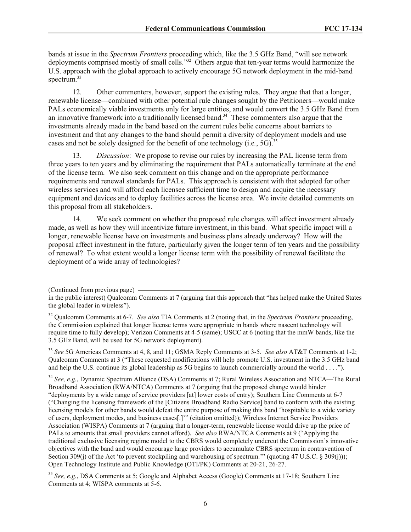bands at issue in the *Spectrum Frontiers* proceeding which, like the 3.5 GHz Band, "will see network deployments comprised mostly of small cells.<sup>332</sup> Others argue that ten-year terms would harmonize the U.S. approach with the global approach to actively encourage 5G network deployment in the mid-band spectrum.<sup>33</sup>

12. Other commenters, however, support the existing rules. They argue that that a longer, renewable license—combined with other potential rule changes sought by the Petitioners—would make PALs economically viable investments only for large entities, and would convert the 3.5 GHz Band from an innovative framework into a traditionally licensed band.<sup>34</sup> These commenters also argue that the investments already made in the band based on the current rules belie concerns about barriers to investment and that any changes to the band should permit a diversity of deployment models and use cases and not be solely designed for the benefit of one technology (i.e*.*, 5G). 35

13. *Discussion*: We propose to revise our rules by increasing the PAL license term from three years to ten years and by eliminating the requirement that PALs automatically terminate at the end of the license term. We also seek comment on this change and on the appropriate performance requirements and renewal standards for PALs. This approach is consistent with that adopted for other wireless services and will afford each licensee sufficient time to design and acquire the necessary equipment and devices and to deploy facilities across the license area. We invite detailed comments on this proposal from all stakeholders.

14. We seek comment on whether the proposed rule changes will affect investment already made, as well as how they will incentivize future investment, in this band. What specific impact will a longer, renewable license have on investments and business plans already underway? How will the proposal affect investment in the future, particularly given the longer term of ten years and the possibility of renewal? To what extent would a longer license term with the possibility of renewal facilitate the deployment of a wide array of technologies?

<sup>33</sup> *See* 5G Americas Comments at 4, 8, and 11; GSMA Reply Comments at 3-5. *See also* AT&T Comments at 1-2; Qualcomm Comments at 3 ("These requested modifications will help promote U.S. investment in the 3.5 GHz band and help the U.S. continue its global leadership as 5G begins to launch commercially around the world . . . .").

<sup>34</sup> *See, e.g.*, Dynamic Spectrum Alliance (DSA) Comments at 7; Rural Wireless Association and NTCA—The Rural Broadband Association (RWA/NTCA) Comments at 7 (arguing that the proposed change would hinder "deployments by a wide range of service providers [at] lower costs of entry); Southern Linc Comments at 6-7 ("Changing the licensing framework of the [Citizens Broadband Radio Service] band to conform with the existing licensing models for other bands would defeat the entire purpose of making this band 'hospitable to a wide variety of users, deployment modes, and business cases[.]'" (citation omitted)); Wireless Internet Service Providers Association (WISPA) Comments at 7 (arguing that a longer-term, renewable license would drive up the price of PALs to amounts that small providers cannot afford). *See also* RWA/NTCA Comments at 9 ("Applying the traditional exclusive licensing regime model to the CBRS would completely undercut the Commission's innovative objectives with the band and would encourage large providers to accumulate CBRS spectrum in contravention of Section 309(j) of the Act 'to prevent stockpiling and warehousing of spectrum.'" (quoting 47 U.S.C. § 309(j))); Open Technology Institute and Public Knowledge (OTI/PK) Comments at 20-21, 26-27.

<sup>35</sup> *See, e.g.*, DSA Comments at 5; Google and Alphabet Access (Google) Comments at 17-18; Southern Linc Comments at 4; WISPA comments at 5-6.

<sup>(</sup>Continued from previous page)

in the public interest) Qualcomm Comments at 7 (arguing that this approach that "has helped make the United States the global leader in wireless").

<sup>32</sup> Qualcomm Comments at 6-7. *See also* TIA Comments at 2 (noting that, in the *Spectrum Frontiers* proceeding, the Commission explained that longer license terms were appropriate in bands where nascent technology will require time to fully develop); Verizon Comments at 4-5 (same); USCC at 6 (noting that the mmW bands, like the 3.5 GHz Band, will be used for 5G network deployment).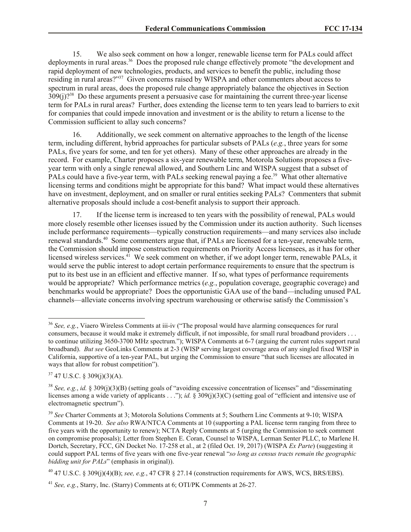15. We also seek comment on how a longer, renewable license term for PALs could affect deployments in rural areas.<sup>36</sup> Does the proposed rule change effectively promote "the development and rapid deployment of new technologies, products, and services to benefit the public, including those residing in rural areas?"<sup>37</sup> Given concerns raised by WISPA and other commenters about access to spectrum in rural areas, does the proposed rule change appropriately balance the objectives in Section  $309(j)$ ?<sup>38</sup> Do these arguments present a persuasive case for maintaining the current three-year license term for PALs in rural areas? Further, does extending the license term to ten years lead to barriers to exit for companies that could impede innovation and investment or is the ability to return a license to the Commission sufficient to allay such concerns?

16. Additionally, we seek comment on alternative approaches to the length of the license term, including different, hybrid approaches for particular subsets of PALs (*e.g.*, three years for some PALs, five years for some, and ten for yet others). Many of these other approaches are already in the record. For example, Charter proposes a six-year renewable term, Motorola Solutions proposes a fiveyear term with only a single renewal allowed, and Southern Linc and WISPA suggest that a subset of PALs could have a five-year term, with PALs seeking renewal paying a fee.<sup>39</sup> What other alternative licensing terms and conditions might be appropriate for this band? What impact would these alternatives have on investment, deployment, and on smaller or rural entities seeking PALs? Commenters that submit alternative proposals should include a cost-benefit analysis to support their approach.

17. If the license term is increased to ten years with the possibility of renewal, PALs would more closely resemble other licenses issued by the Commission under its auction authority. Such licenses include performance requirements—typically construction requirements—and many services also include renewal standards.<sup>40</sup> Some commenters argue that, if PALs are licensed for a ten-year, renewable term, the Commission should impose construction requirements on Priority Access licensees, as it has for other licensed wireless services.<sup>41</sup> We seek comment on whether, if we adopt longer term, renewable PALs, it would serve the public interest to adopt certain performance requirements to ensure that the spectrum is put to its best use in an efficient and effective manner. If so, what types of performance requirements would be appropriate? Which performance metrics (*e.g.*, population coverage, geographic coverage) and benchmarks would be appropriate? Does the opportunistic GAA use of the band—including unused PAL channels—alleviate concerns involving spectrum warehousing or otherwise satisfy the Commission's

<sup>36</sup> *See, e.g.*, Viaero Wireless Comments at iii-iv ("The proposal would have alarming consequences for rural consumers, because it would make it extremely difficult, if not impossible, for small rural broadband providers . . . to continue utilizing 3650-3700 MHz spectrum."); WISPA Comments at 6-7 (arguing the current rules support rural broadband). *But see* GeoLinks Comments at 2-3 (WISP serving largest coverage area of any singled fixed WISP in California, supportive of a ten-year PAL, but urging the Commission to ensure "that such licenses are allocated in ways that allow for robust competition").

 $37$  47 U.S.C. § 309(j)(3)(A).

<sup>38</sup> *See, e.g.*, *id.* § 309(j)(3)(B) (setting goals of "avoiding excessive concentration of licenses" and "disseminating licenses among a wide variety of applicants . . ."); *id.* § 309(j)(3)(C) (setting goal of "efficient and intensive use of electromagnetic spectrum").

<sup>39</sup> *See* Charter Comments at 3; Motorola Solutions Comments at 5; Southern Linc Comments at 9-10; WISPA Comments at 19-20. *See also* RWA/NTCA Comments at 10 (supporting a PAL license term ranging from three to five years with the opportunity to renew); NCTA Reply Comments at 5 (urging the Commission to seek comment on compromise proposals); Letter from Stephen E. Coran, Counsel to WISPA, Lerman Senter PLLC, to Marlene H. Dortch, Secretary, FCC, GN Docket No. 17-258 et al., at 2 (filed Oct. 19, 2017) (WISPA *Ex Parte*) (suggesting it could support PAL terms of five years with one five-year renewal "*so long as census tracts remain the geographic bidding unit for PALs*" (emphasis in original)).

<sup>40</sup> 47 U.S.C. § 309(j)(4)(B); *see, e.g.*, 47 CFR § 27.14 (construction requirements for AWS, WCS, BRS/EBS).

<sup>41</sup> *See, e.g.*, Starry, Inc. (Starry) Comments at 6; OTI/PK Comments at 26-27.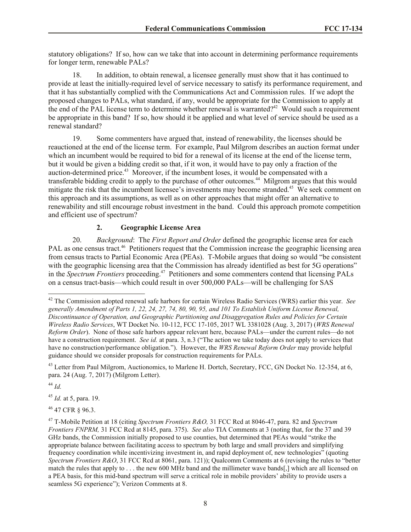statutory obligations? If so, how can we take that into account in determining performance requirements for longer term, renewable PALs?

18. In addition, to obtain renewal, a licensee generally must show that it has continued to provide at least the initially-required level of service necessary to satisfy its performance requirement, and that it has substantially complied with the Communications Act and Commission rules. If we adopt the proposed changes to PALs, what standard, if any, would be appropriate for the Commission to apply at the end of the PAL license term to determine whether renewal is warranted?<sup>42</sup> Would such a requirement be appropriate in this band? If so, how should it be applied and what level of service should be used as a renewal standard?

19. Some commenters have argued that, instead of renewability, the licenses should be reauctioned at the end of the license term. For example, Paul Milgrom describes an auction format under which an incumbent would be required to bid for a renewal of its license at the end of the license term, but it would be given a bidding credit so that, if it won, it would have to pay only a fraction of the auction-determined price. 43 Moreover, if the incumbent loses, it would be compensated with a transferable bidding credit to apply to the purchase of other outcomes.<sup>44</sup> Milgrom argues that this would mitigate the risk that the incumbent licensee's investments may become stranded.<sup>45</sup> We seek comment on this approach and its assumptions, as well as on other approaches that might offer an alternative to renewability and still encourage robust investment in the band. Could this approach promote competition and efficient use of spectrum?

# **2. Geographic License Area**

20. *Background*: The *First Report and Order* defined the geographic license area for each PAL as one census tract.<sup>46</sup> Petitioners request that the Commission increase the geographic licensing area from census tracts to Partial Economic Area (PEAs). T-Mobile argues that doing so would "be consistent with the geographic licensing area that the Commission has already identified as best for 5G operations" in the *Spectrum Frontiers* proceeding.<sup>47</sup> Petitioners and some commenters contend that licensing PALs on a census tract-basis—which could result in over 500,000 PALs—will be challenging for SAS

<sup>44</sup> *Id.*

l

<sup>45</sup> *Id.* at 5, para. 19.

<sup>46</sup> 47 CFR § 96.3.

<sup>42</sup> The Commission adopted renewal safe harbors for certain Wireless Radio Services (WRS) earlier this year. *See generally Amendment of Parts 1, 22, 24, 27, 74, 80, 90, 95, and 101 To Establish Uniform License Renewal, Discontinuance of Operation, and Geographic Partitioning and Disaggregation Rules and Policies for Certain Wireless Radio Services*, WT Docket No. 10-112, FCC 17-105, 2017 WL 3381028 (Aug. 3, 2017) (*WRS Renewal Reform Order*). None of those safe harbors appear relevant here, because PALs—under the current rules—do not have a construction requirement. *See id.* at para. 3, n.3 ("The action we take today does not apply to services that have no construction/performance obligation."). However, the *WRS Renewal Reform Order* may provide helpful guidance should we consider proposals for construction requirements for PALs.

<sup>&</sup>lt;sup>43</sup> Letter from Paul Milgrom, Auctionomics, to Marlene H. Dortch, Secretary, FCC, GN Docket No. 12-354, at 6, para. 24 (Aug. 7, 2017) (Milgrom Letter).

<sup>47</sup> T-Mobile Petition at 18 (citing *Spectrum Frontiers R&O,* 31 FCC Rcd at 8046-47, para. 82 and *Spectrum Frontiers FNPRM,* 31 FCC Rcd at 8145, para. 375). *See also* TIA Comments at 3 (noting that, for the 37 and 39 GHz bands, the Commission initially proposed to use counties, but determined that PEAs would "strike the appropriate balance between facilitating access to spectrum by both large and small providers and simplifying frequency coordination while incentivizing investment in, and rapid deployment of, new technologies" (quoting *Spectrum Frontiers R&O*, 31 FCC Rcd at 8061, para. 121)); Qualcomm Comments at 6 (revising the rules to "better match the rules that apply to . . . the new 600 MHz band and the millimeter wave bands[,] which are all licensed on a PEA basis, for this mid-band spectrum will serve a critical role in mobile providers' ability to provide users a seamless 5G experience"); Verizon Comments at 8.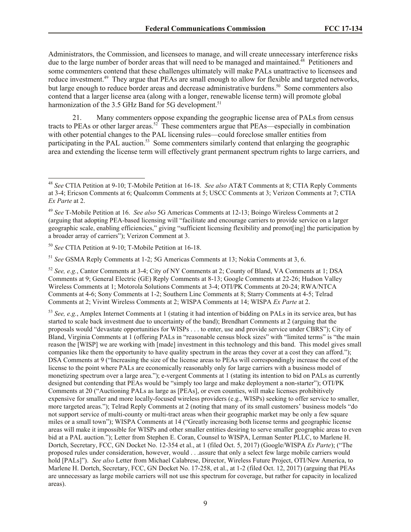Administrators, the Commission, and licensees to manage, and will create unnecessary interference risks due to the large number of border areas that will need to be managed and maintained.<sup>48</sup> Petitioners and some commenters contend that these challenges ultimately will make PALs unattractive to licensees and reduce investment.<sup>49</sup> They argue that PEAs are small enough to allow for flexible and targeted networks, but large enough to reduce border areas and decrease administrative burdens.<sup>50</sup> Some commenters also contend that a larger license area (along with a longer, renewable license term) will promote global harmonization of the 3.5 GHz Band for 5G development.<sup>51</sup>

21. Many commenters oppose expanding the geographic license area of PALs from census tracts to PEAs or other larger areas.<sup>52</sup> These commenters argue that PEAs—especially in combination with other potential changes to the PAL licensing rules—could foreclose smaller entities from participating in the PAL auction.<sup>53</sup> Some commenters similarly contend that enlarging the geographic area and extending the license term will effectively grant permanent spectrum rights to large carriers, and

<sup>50</sup> *See* CTIA Petition at 9-10; T-Mobile Petition at 16-18.

l

<sup>51</sup> *See* GSMA Reply Comments at 1-2; 5G Americas Comments at 13; Nokia Comments at 3, 6.

<sup>52</sup> *See, e.g.*, Cantor Comments at 3-4; City of NY Comments at 2; County of Bland, VA Comments at 1; DSA Comments at 9; General Electric (GE) Reply Comments at 8-13; Google Comments at 22-26; Hudson Valley Wireless Comments at 1; Motorola Solutions Comments at 3-4; OTI/PK Comments at 20-24; RWA/NTCA Comments at 4-6; Sony Comments at 1-2; Southern Linc Comments at 8; Starry Comments at 4-5; Telrad Comments at 2; Vivint Wireless Comments at 2; WISPA Comments at 14; WISPA *Ex Parte* at 2.

<sup>53</sup> *See, e.g.*, Amplex Internet Comments at 1 (stating it had intention of bidding on PALs in its service area, but has started to scale back investment due to uncertainty of the band); Brendhart Comments at 2 (arguing that the proposals would "devastate opportunities for WISPs . . . to enter, use and provide service under CBRS"); City of Bland, Virginia Comments at 1 (offering PALs in "reasonable census block sizes" with "limited terms" is "the main reason the [WISP] we are working with [made] investment in this technology and this band. This model gives small companies like them the opportunity to have quality spectrum in the areas they cover at a cost they can afford."); DSA Comments at 9 ("Increasing the size of the license areas to PEAs will correspondingly increase the cost of the license to the point where PALs are economically reasonably only for large carriers with a business model of monetizing spectrum over a large area."); e-vergent Comments at 1 (stating its intention to bid on PALs as currently designed but contending that PEAs would be "simply too large and make deployment a non-starter"); OTI/PK Comments at 20 ("Auctioning PALs as large as [PEAs], or even counties, will make licenses prohibitively expensive for smaller and more locally-focused wireless providers (e.g., WISPs) seeking to offer service to smaller, more targeted areas."); Telrad Reply Comments at 2 (noting that many of its small customers' business models "do not support service of multi-county or multi-tract areas when their geographic market may be only a few square miles or a small town"); WISPA Comments at 14 ("Greatly increasing both license terms and geographic license areas will make it impossible for WISPs and other smaller entities desiring to serve smaller geographic areas to even bid at a PAL auction."); Letter from Stephen E. Coran, Counsel to WISPA, Lerman Senter PLLC, to Marlene H. Dortch, Secretary, FCC, GN Docket No. 12-354 et al., at 1 (filed Oct. 5, 2017) (Google/WISPA *Ex Parte*); ("The proposed rules under consideration, however, would . . .assure that only a select few large mobile carriers would hold [PALs]"). *See also* Letter from Michael Calabrese, Director, Wireless Future Project, OTI/New America, to Marlene H. Dortch, Secretary, FCC, GN Docket No. 17-258, et al., at 1-2 (filed Oct. 12, 2017) (arguing that PEAs are unnecessary as large mobile carriers will not use this spectrum for coverage, but rather for capacity in localized areas).

<sup>48</sup> *See* CTIA Petition at 9-10; T-Mobile Petition at 16-18. *See also* AT&T Comments at 8; CTIA Reply Comments at 3-4; Ericson Comments at 6; Qualcomm Comments at 5; USCC Comments at 3; Verizon Comments at 7; CTIA *Ex Parte* at 2.

<sup>49</sup> *See* T-Mobile Petition at 16. *See also* 5G Americas Comments at 12-13; Boingo Wireless Comments at 2 (arguing that adopting PEA-based licensing will "facilitate and encourage carriers to provide service on a larger geographic scale, enabling efficiencies," giving "sufficient licensing flexibility and promot[ing] the participation by a broader array of carriers"); Verizon Comment at 3.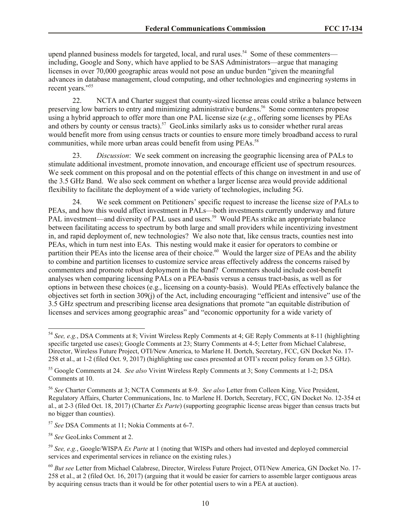upend planned business models for targeted, local, and rural uses.<sup>54</sup> Some of these commenters including, Google and Sony, which have applied to be SAS Administrators—argue that managing licenses in over 70,000 geographic areas would not pose an undue burden "given the meaningful advances in database management, cloud computing, and other technologies and engineering systems in recent years."<sup>55</sup>

22. NCTA and Charter suggest that county-sized license areas could strike a balance between preserving low barriers to entry and minimizing administrative burdens.<sup>56</sup> Some commenters propose using a hybrid approach to offer more than one PAL license size (*e.g.*, offering some licenses by PEAs and others by county or census tracts).<sup>57</sup> GeoLinks similarly asks us to consider whether rural areas would benefit more from using census tracts or counties to ensure more timely broadband access to rural communities, while more urban areas could benefit from using PEAs.<sup>58</sup>

23. *Discussion*: We seek comment on increasing the geographic licensing area of PALs to stimulate additional investment, promote innovation, and encourage efficient use of spectrum resources. We seek comment on this proposal and on the potential effects of this change on investment in and use of the 3.5 GHz Band. We also seek comment on whether a larger license area would provide additional flexibility to facilitate the deployment of a wide variety of technologies, including 5G.

24. We seek comment on Petitioners' specific request to increase the license size of PALs to PEAs, and how this would affect investment in PALs—both investments currently underway and future PAL investment—and diversity of PAL uses and users.<sup>59</sup> Would PEAs strike an appropriate balance between facilitating access to spectrum by both large and small providers while incentivizing investment in, and rapid deployment of, new technologies? We also note that, like census tracts, counties nest into PEAs, which in turn nest into EAs. This nesting would make it easier for operators to combine or partition their PEAs into the license area of their choice.<sup>60</sup> Would the larger size of PEAs and the ability to combine and partition licenses to customize service areas effectively address the concerns raised by commenters and promote robust deployment in the band? Commenters should include cost-benefit analyses when comparing licensing PALs on a PEA-basis versus a census tract-basis, as well as for options in between these choices (e.g., licensing on a county-basis). Would PEAs effectively balance the objectives set forth in section 309(j) of the Act, including encouraging "efficient and intensive" use of the 3.5 GHz spectrum and prescribing license area designations that promote "an equitable distribution of licenses and services among geographic areas" and "economic opportunity for a wide variety of

<sup>54</sup> *See, e.g.*, DSA Comments at 8; Vivint Wireless Reply Comments at 4; GE Reply Comments at 8-11 (highlighting specific targeted use cases); Google Comments at 23; Starry Comments at 4-5; Letter from Michael Calabrese, Director, Wireless Future Project, OTI/New America, to Marlene H. Dortch, Secretary, FCC, GN Docket No. 17- 258 et al., at 1-2 (filed Oct. 9, 2017) (highlighting use cases presented at OTI's recent policy forum on 3.5 GHz).

<sup>55</sup> Google Comments at 24. *See also* Vivint Wireless Reply Comments at 3; Sony Comments at 1-2; DSA Comments at 10.

<sup>56</sup> *See* Charter Comments at 3; NCTA Comments at 8-9. *See also* Letter from Colleen King, Vice President, Regulatory Affairs, Charter Communications, Inc. to Marlene H. Dortch, Secretary, FCC, GN Docket No. 12-354 et al., at 2-3 (filed Oct. 18, 2017) (Charter *Ex Parte*) (supporting geographic license areas bigger than census tracts but no bigger than counties).

<sup>57</sup> *See* DSA Comments at 11; Nokia Comments at 6-7.

<sup>58</sup> *See* GeoLinks Comment at 2.

<sup>59</sup> *See, e.g.*, Google/WISPA *Ex Parte* at 1 (noting that WISPs and others had invested and deployed commercial services and experimental services in reliance on the existing rules.)

<sup>60</sup> *But see* Letter from Michael Calabrese, Director, Wireless Future Project, OTI/New America, GN Docket No. 17- 258 et al., at 2 (filed Oct. 16, 2017) (arguing that it would be easier for carriers to assemble larger contiguous areas by acquiring census tracts than it would be for other potential users to win a PEA at auction).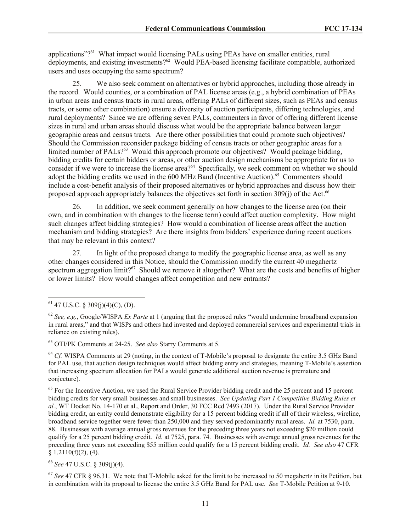applications"?<sup>61</sup> What impact would licensing PALs using PEAs have on smaller entities, rural deployments, and existing investments?<sup>62</sup> Would PEA-based licensing facilitate compatible, authorized users and uses occupying the same spectrum?

25. We also seek comment on alternatives or hybrid approaches, including those already in the record. Would counties, or a combination of PAL license areas (e.g., a hybrid combination of PEAs in urban areas and census tracts in rural areas, offering PALs of different sizes, such as PEAs and census tracts, or some other combination) ensure a diversity of auction participants, differing technologies, and rural deployments? Since we are offering seven PALs, commenters in favor of offering different license sizes in rural and urban areas should discuss what would be the appropriate balance between larger geographic areas and census tracts. Are there other possibilities that could promote such objectives? Should the Commission reconsider package bidding of census tracts or other geographic areas for a limited number of PALs?<sup>63</sup> Would this approach promote our objectives? Would package bidding, bidding credits for certain bidders or areas, or other auction design mechanisms be appropriate for us to consider if we were to increase the license area?<sup>64</sup> Specifically, we seek comment on whether we should adopt the bidding credits we used in the 600 MHz Band (Incentive Auction).<sup>65</sup> Commenters should include a cost-benefit analysis of their proposed alternatives or hybrid approaches and discuss how their proposed approach appropriately balances the objectives set forth in section 309(j) of the Act.<sup>66</sup>

26. In addition, we seek comment generally on how changes to the license area (on their own, and in combination with changes to the license term) could affect auction complexity. How might such changes affect bidding strategies? How would a combination of license areas affect the auction mechanism and bidding strategies? Are there insights from bidders' experience during recent auctions that may be relevant in this context?

27. In light of the proposed change to modify the geographic license area, as well as any other changes considered in this Notice, should the Commission modify the current 40 megahertz spectrum aggregation limit?<sup>67</sup> Should we remove it altogether? What are the costs and benefits of higher or lower limits? How would changes affect competition and new entrants?

l

<sup>63</sup> OTI/PK Comments at 24-25. *See also* Starry Comments at 5.

<sup>64</sup> *Cf.* WISPA Comments at 29 (noting, in the context of T-Mobile's proposal to designate the entire 3.5 GHz Band for PAL use, that auction design techniques would affect bidding entry and strategies, meaning T-Mobile's assertion that increasing spectrum allocation for PALs would generate additional auction revenue is premature and conjecture).

 $<sup>65</sup>$  For the Incentive Auction, we used the Rural Service Provider bidding credit and the 25 percent and 15 percent</sup> bidding credits for very small businesses and small businesses. *See Updating Part 1 Competitive Bidding Rules et al.*, WT Docket No. 14-170 et al., Report and Order, 30 FCC Rcd 7493 (2017). Under the Rural Service Provider bidding credit, an entity could demonstrate eligibility for a 15 percent bidding credit if all of their wireless, wireline, broadband service together were fewer than 250,000 and they served predominantly rural areas. *Id.* at 7530, para. 88. Businesses with average annual gross revenues for the preceding three years not exceeding \$20 million could qualify for a 25 percent bidding credit. *Id.* at 7525, para. 74. Businesses with average annual gross revenues for the preceding three years not exceeding \$55 million could qualify for a 15 percent bidding credit. *Id. See also* 47 CFR  $§ 1.2110(f)(2), (4).$ 

<sup>66</sup> *See* 47 U.S.C. § 309(j)(4).

<sup>67</sup> *See* 47 CFR § 96.31. We note that T-Mobile asked for the limit to be increased to 50 megahertz in its Petition, but in combination with its proposal to license the entire 3.5 GHz Band for PAL use. *See* T-Mobile Petition at 9-10.

 $61$  47 U.S.C. § 309(j)(4)(C), (D).

<sup>62</sup> *See, e.g.*, Google/WISPA *Ex Parte* at 1 (arguing that the proposed rules "would undermine broadband expansion in rural areas," and that WISPs and others had invested and deployed commercial services and experimental trials in reliance on existing rules).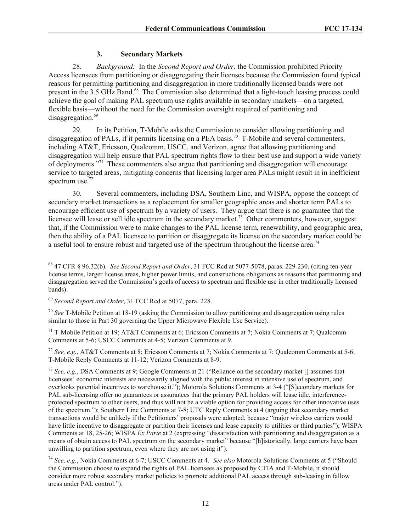## **3. Secondary Markets**

28. *Background:* In the *Second Report and Order*, the Commission prohibited Priority Access licensees from partitioning or disaggregating their licenses because the Commission found typical reasons for permitting partitioning and disaggregation in more traditionally licensed bands were not present in the 3.5 GHz Band.<sup>68</sup> The Commission also determined that a light-touch leasing process could achieve the goal of making PAL spectrum use rights available in secondary markets—on a targeted, flexible basis—without the need for the Commission oversight required of partitioning and disaggregation.<sup>69</sup>

29. In its Petition, T-Mobile asks the Commission to consider allowing partitioning and disaggregation of PALs, if it permits licensing on a PEA basis.<sup>70</sup> T-Mobile and several commenters, including AT&T, Ericsson, Qualcomm, USCC, and Verizon, agree that allowing partitioning and disaggregation will help ensure that PAL spectrum rights flow to their best use and support a wide variety of deployments."<sup>71</sup> These commenters also argue that partitioning and disaggregation will encourage service to targeted areas, mitigating concerns that licensing larger area PALs might result in in inefficient spectrum use.<sup>72</sup>

30. Several commenters, including DSA, Southern Linc, and WISPA, oppose the concept of secondary market transactions as a replacement for smaller geographic areas and shorter term PALs to encourage efficient use of spectrum by a variety of users. They argue that there is no guarantee that the licensee will lease or sell idle spectrum in the secondary market.<sup>73</sup> Other commenters, however, suggest that, if the Commission were to make changes to the PAL license term, renewability, and geographic area, then the ability of a PAL licensee to partition or disaggregate its license on the secondary market could be a useful tool to ensure robust and targeted use of the spectrum throughout the license area.<sup>74</sup>

<sup>68</sup> 47 CFR § 96.32(b). *See Second Report and Order*, 31 FCC Rcd at 5077-5078, paras. 229-230. (citing ten-year license terms, larger license areas, higher power limits, and constructions obligations as reasons that partitioning and disaggregation served the Commission's goals of access to spectrum and flexible use in other traditionally licensed bands).

<sup>69</sup> *Second Report and Order*, 31 FCC Rcd at 5077, para. 228.

<sup>70</sup> *See* T-Mobile Petition at 18-19 (asking the Commission to allow partitioning and disaggregation using rules similar to those in Part 30 governing the Upper Microwave Flexible Use Service).

<sup>&</sup>lt;sup>71</sup> T-Mobile Petition at 19; AT&T Comments at 6; Ericsson Comments at 7; Nokia Comments at 7; Qualcomm Comments at 5-6; USCC Comments at 4-5; Verizon Comments at 9.

<sup>72</sup> *See, e.g.*, AT&T Comments at 8; Ericsson Comments at 7; Nokia Comments at 7; Qualcomm Comments at 5-6; T-Mobile Reply Comments at 11-12; Verizon Comments at 8-9.

<sup>73</sup> *See, e.g.*, DSA Comments at 9; Google Comments at 21 ("Reliance on the secondary market [] assumes that licensees' economic interests are necessarily aligned with the public interest in intensive use of spectrum, and overlooks potential incentives to warehouse it."); Motorola Solutions Comments at 3-4 ("[S]econdary markets for PAL sub-licensing offer no guarantees or assurances that the primary PAL holders will lease idle, interferenceprotected spectrum to other users, and thus will not be a viable option for providing access for other innovative uses of the spectrum."); Southern Linc Comments at 7-8; UTC Reply Comments at 4 (arguing that secondary market transactions would be unlikely if the Petitioners' proposals were adopted, because "major wireless carriers would have little incentive to disaggregate or partition their licenses and lease capacity to utilities or third parties"); WISPA Comments at 18, 25-26; WISPA *Ex Parte* at 2 (expressing "dissatisfaction with partitioning and disaggregation as a means of obtain access to PAL spectrum on the secondary market" because "[h]istorically, large carriers have been unwilling to partition spectrum, even where they are not using it").

<sup>74</sup> *See, e.g.*, Nokia Comments at 6-7; USCC Comments at 4. *See also* Motorola Solutions Comments at 5 ("Should the Commission choose to expand the rights of PAL licensees as proposed by CTIA and T-Mobile, it should consider more robust secondary market policies to promote additional PAL access through sub-leasing in fallow areas under PAL control.").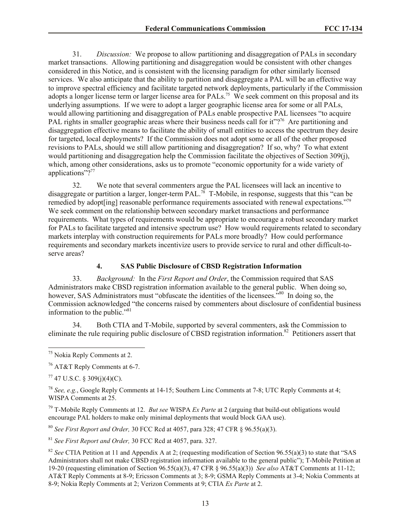31. *Discussion:* We propose to allow partitioning and disaggregation of PALs in secondary market transactions. Allowing partitioning and disaggregation would be consistent with other changes considered in this Notice, and is consistent with the licensing paradigm for other similarly licensed services. We also anticipate that the ability to partition and disaggregate a PAL will be an effective way to improve spectral efficiency and facilitate targeted network deployments, particularly if the Commission adopts a longer license term or larger license area for  $PALs$ .<sup>75</sup> We seek comment on this proposal and its underlying assumptions. If we were to adopt a larger geographic license area for some or all PALs, would allowing partitioning and disaggregation of PALs enable prospective PAL licensees "to acquire PAL rights in smaller geographic areas where their business needs call for it"?<sup>76</sup> Are partitioning and disaggregation effective means to facilitate the ability of small entities to access the spectrum they desire for targeted, local deployments? If the Commission does not adopt some or all of the other proposed revisions to PALs, should we still allow partitioning and disaggregation? If so, why? To what extent would partitioning and disaggregation help the Commission facilitate the objectives of Section 309(j), which, among other considerations, asks us to promote "economic opportunity for a wide variety of applications"?<sup>77</sup>

32. We note that several commenters argue the PAL licensees will lack an incentive to disaggregate or partition a larger, longer-term PAL.<sup>78</sup> T-Mobile, in response, suggests that this "can be remedied by adopt[ing] reasonable performance requirements associated with renewal expectations."<sup>79</sup> We seek comment on the relationship between secondary market transactions and performance requirements. What types of requirements would be appropriate to encourage a robust secondary market for PALs to facilitate targeted and intensive spectrum use? How would requirements related to secondary markets interplay with construction requirements for PALs more broadly? How could performance requirements and secondary markets incentivize users to provide service to rural and other difficult-toserve areas?

## **4. SAS Public Disclosure of CBSD Registration Information**

33. *Background:* In the *First Report and Order*, the Commission required that SAS Administrators make CBSD registration information available to the general public. When doing so, however, SAS Administrators must "obfuscate the identities of the licensees.<sup>580</sup> In doing so, the Commission acknowledged "the concerns raised by commenters about disclosure of confidential business information to the public."<sup>81</sup>

34. Both CTIA and T-Mobile, supported by several commenters, ask the Commission to eliminate the rule requiring public disclosure of CBSD registration information.<sup>82</sup> Petitioners assert that

 $77$  47 U.S.C. § 309(j)(4)(C).

l

<sup>78</sup> *See, e.g.*, Google Reply Comments at 14-15; Southern Linc Comments at 7-8; UTC Reply Comments at 4; WISPA Comments at 25.

<sup>79</sup> T-Mobile Reply Comments at 12. *But see* WISPA *Ex Parte* at 2 (arguing that build-out obligations would encourage PAL holders to make only minimal deployments that would block GAA use).

<sup>80</sup> *See First Report and Order,* 30 FCC Rcd at 4057, para 328; 47 CFR § 96.55(a)(3).

<sup>81</sup> *See First Report and Order,* 30 FCC Rcd at 4057, para. 327.

<sup>82</sup> *See* CTIA Petition at 11 and Appendix A at 2; (requesting modification of Section 96.55(a)(3) to state that "SAS Administrators shall not make CBSD registration information available to the general public"); T-Mobile Petition at 19-20 (requesting elimination of Section 96.55(a)(3), 47 CFR § 96.55(a)(3)) *See also* AT&T Comments at 11-12; AT&T Reply Comments at 8-9; Ericsson Comments at 3; 8-9; GSMA Reply Comments at 3-4; Nokia Comments at 8-9; Nokia Reply Comments at 2; Verizon Comments at 9; CTIA *Ex Parte* at 2.

<sup>&</sup>lt;sup>75</sup> Nokia Reply Comments at 2.

<sup>76</sup> AT&T Reply Comments at 6-7.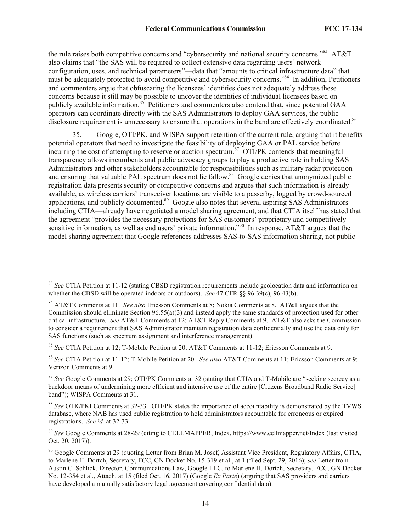the rule raises both competitive concerns and "cybersecurity and national security concerns."<sup>83</sup> AT&T also claims that "the SAS will be required to collect extensive data regarding users' network configuration, uses, and technical parameters"—data that "amounts to critical infrastructure data" that must be adequately protected to avoid competitive and cybersecurity concerns."<sup>84</sup> In addition, Petitioners and commenters argue that obfuscating the licensees' identities does not adequately address these concerns because it still may be possible to uncover the identities of individual licensees based on publicly available information.<sup>85</sup> Petitioners and commenters also contend that, since potential GAA operators can coordinate directly with the SAS Administrators to deploy GAA services, the public disclosure requirement is unnecessary to ensure that operations in the band are effectively coordinated.<sup>86</sup>

35. Google, OTI/PK, and WISPA support retention of the current rule, arguing that it benefits potential operators that need to investigate the feasibility of deploying GAA or PAL service before  $\frac{1}{2}$  incurring the cost of attempting to reserve or auction spectrum.<sup>87</sup> OTI/PK contends that meaningful transparency allows incumbents and public advocacy groups to play a productive role in holding SAS Administrators and other stakeholders accountable for responsibilities such as military radar protection and ensuring that valuable PAL spectrum does not lie fallow.<sup>88</sup> Google denies that anonymized public registration data presents security or competitive concerns and argues that such information is already available, as wireless carriers' transceiver locations are visible to a passerby, logged by crowd-sourced applications, and publicly documented.<sup>89</sup> Google also notes that several aspiring SAS Administrators including CTIA—already have negotiated a model sharing agreement, and that CTIA itself has stated that the agreement "provides the necessary protections for SAS customers' proprietary and competitively sensitive information, as well as end users' private information."<sup>90</sup> In response,  $AT&T$  argues that the model sharing agreement that Google references addresses SAS-to-SAS information sharing, not public

<sup>83</sup> *See* CTIA Petition at 11-12 (stating CBSD registration requirements include geolocation data and information on whether the CBSD will be operated indoors or outdoors). *See* 47 CFR §§ 96.39(c), 96.43(b).

<sup>84</sup> AT&T Comments at 11. *See also* Ericsson Comments at 8; Nokia Comments at 8. AT&T argues that the Commission should eliminate Section 96.55(a)(3) and instead apply the same standards of protection used for other critical infrastructure. *See* AT&T Comments at 12; AT&T Reply Comments at 9. AT&T also asks the Commission to consider a requirement that SAS Administrator maintain registration data confidentially and use the data only for SAS functions (such as spectrum assignment and interference management).

<sup>85</sup> *See* CTIA Petition at 12; T-Mobile Petition at 20; AT&T Comments at 11-12; Ericsson Comments at 9.

<sup>86</sup> *See* CTIA Petition at 11-12; T-Mobile Petition at 20. *See also* AT&T Comments at 11; Ericsson Comments at 9; Verizon Comments at 9.

<sup>87</sup> *See* Google Comments at 29; OTI/PK Comments at 32 (stating that CTIA and T-Mobile are "seeking secrecy as a backdoor means of undermining more efficient and intensive use of the entire [Citizens Broadband Radio Service] band"); WISPA Comments at 31.

<sup>88</sup> *See* OTK/PKI Comments at 32-33. OTI/PK states the importance of accountability is demonstrated by the TVWS database, where NAB has used public registration to hold administrators accountable for erroneous or expired registrations. *See id.* at 32-33.

<sup>89</sup> *See* Google Comments at 28-29 (citing to CELLMAPPER, Index, https://www.cellmapper.net/Index (last visited Oct. 20, 2017)).

<sup>&</sup>lt;sup>90</sup> Google Comments at 29 (quoting Letter from Brian M. Josef, Assistant Vice President, Regulatory Affairs, CTIA, to Marlene H. Dortch, Secretary, FCC, GN Docket No. 15-319 et al., at 1 (filed Sept. 29, 2016); *see* Letter from Austin C. Schlick, Director, Communications Law, Google LLC, to Marlene H. Dortch, Secretary, FCC, GN Docket No. 12-354 et al., Attach. at 15 (filed Oct. 16, 2017) (Google *Ex Parte*) (arguing that SAS providers and carriers have developed a mutually satisfactory legal agreement covering confidential data).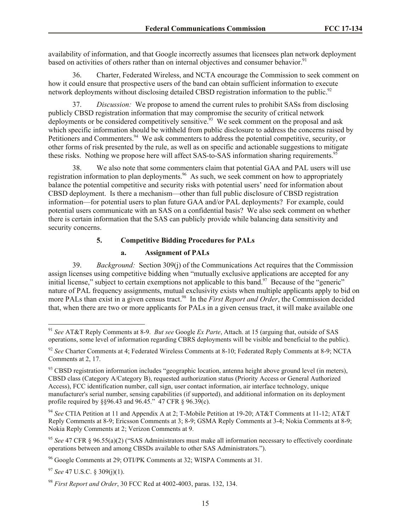availability of information, and that Google incorrectly assumes that licensees plan network deployment based on activities of others rather than on internal objectives and consumer behavior.<sup>91</sup>

36. Charter, Federated Wireless, and NCTA encourage the Commission to seek comment on how it could ensure that prospective users of the band can obtain sufficient information to execute network deployments without disclosing detailed CBSD registration information to the public.<sup>92</sup>

37. *Discussion:* We propose to amend the current rules to prohibit SASs from disclosing publicly CBSD registration information that may compromise the security of critical network deployments or be considered competitively sensitive.<sup>93</sup> We seek comment on the proposal and ask which specific information should be withheld from public disclosure to address the concerns raised by Petitioners and Commenters.<sup>94</sup> We ask commenters to address the potential competitive, security, or other forms of risk presented by the rule, as well as on specific and actionable suggestions to mitigate these risks. Nothing we propose here will affect SAS-to-SAS information sharing requirements.<sup>95</sup>

38. We also note that some commenters claim that potential GAA and PAL users will use registration information to plan deployments.<sup>96</sup> As such, we seek comment on how to appropriately balance the potential competitive and security risks with potential users' need for information about CBSD deployment. Is there a mechanism—other than full public disclosure of CBSD registration information—for potential users to plan future GAA and/or PAL deployments? For example, could potential users communicate with an SAS on a confidential basis? We also seek comment on whether there is certain information that the SAS can publicly provide while balancing data sensitivity and security concerns.

# **5. Competitive Bidding Procedures for PALs**

#### **a. Assignment of PALs**

39. *Background:* Section 309(j) of the Communications Act requires that the Commission assign licenses using competitive bidding when "mutually exclusive applications are accepted for any initial license," subject to certain exemptions not applicable to this band. $97$  Because of the "generic" nature of PAL frequency assignments, mutual exclusivity exists when multiple applicants apply to bid on more PALs than exist in a given census tract.<sup>98</sup> In the *First Report and Order*, the Commission decided that, when there are two or more applicants for PALs in a given census tract, it will make available one

<sup>91</sup> *See* AT&T Reply Comments at 8-9. *But see* Google *Ex Parte*, Attach. at 15 (arguing that, outside of SAS operations, some level of information regarding CBRS deployments will be visible and beneficial to the public).

<sup>&</sup>lt;sup>92</sup> See Charter Comments at 4; Federated Wireless Comments at 8-10; Federated Reply Comments at 8-9; NCTA Comments at 2, 17.

<sup>&</sup>lt;sup>93</sup> CBSD registration information includes "geographic location, antenna height above ground level (in meters), CBSD class (Category A/Category B), requested authorization status (Priority Access or General Authorized Access), FCC identification number, call sign, user contact information, air interface technology, unique manufacturer's serial number, sensing capabilities (if supported), and additional information on its deployment profile required by §§96.43 and 96.45." 47 CFR § 96.39(c).

<sup>94</sup> *See* CTIA Petition at 11 and Appendix A at 2; T-Mobile Petition at 19-20; AT&T Comments at 11-12; AT&T Reply Comments at 8-9; Ericsson Comments at 3; 8-9; GSMA Reply Comments at 3-4; Nokia Comments at 8-9; Nokia Reply Comments at 2; Verizon Comments at 9.

<sup>95</sup> *See* 47 CFR § 96.55(a)(2) ("SAS Administrators must make all information necessary to effectively coordinate operations between and among CBSDs available to other SAS Administrators.").

<sup>96</sup> Google Comments at 29; OTI/PK Comments at 32; WISPA Comments at 31.

<sup>97</sup> *See* 47 U.S.C. § 309(j)(1).

<sup>98</sup> *First Report and Order*, 30 FCC Rcd at 4002-4003, paras. 132, 134.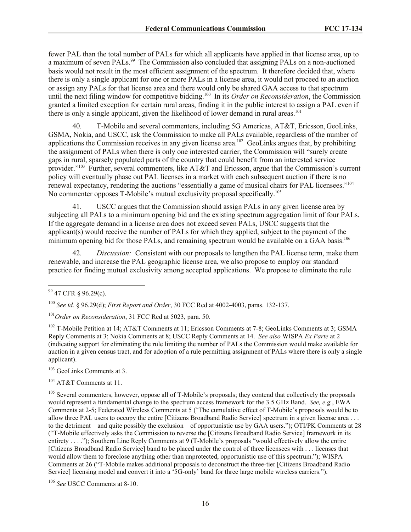fewer PAL than the total number of PALs for which all applicants have applied in that license area, up to a maximum of seven PALs.<sup>99</sup> The Commission also concluded that assigning PALs on a non-auctioned basis would not result in the most efficient assignment of the spectrum. It therefore decided that, where there is only a single applicant for one or more PALs in a license area, it would not proceed to an auction or assign any PALs for that license area and there would only be shared GAA access to that spectrum until the next filing window for competitive bidding.<sup>100</sup> In its *Order on Reconsideration*, the Commission granted a limited exception for certain rural areas, finding it in the public interest to assign a PAL even if there is only a single applicant, given the likelihood of lower demand in rural areas.<sup>101</sup>

40. T-Mobile and several commenters, including 5G Americas, AT&T, Ericsson,GeoLinks, GSMA, Nokia, and USCC, ask the Commission to make all PALs available, regardless of the number of applications the Commission receives in any given license area.<sup>102</sup> GeoLinks argues that, by prohibiting the assignment of PALs when there is only one interested carrier, the Commission will "surely create gaps in rural, sparsely populated parts of the country that could benefit from an interested service provider."<sup>103</sup> Further, several commenters, like AT&T and Ericsson, argue that the Commission's current policy will eventually phase out PAL licenses in a market with each subsequent auction if there is no renewal expectancy, rendering the auctions "essentially a game of musical chairs for PAL licensees."<sup>104</sup> No commenter opposes T-Mobile's mutual exclusivity proposal specifically.<sup>105</sup>

41. USCC argues that the Commission should assign PALs in any given license area by subjecting all PALs to a minimum opening bid and the existing spectrum aggregation limit of four PALs. If the aggregate demand in a license area does not exceed seven PALs, USCC suggests that the applicant(s) would receive the number of PALs for which they applied, subject to the payment of the minimum opening bid for those PALs, and remaining spectrum would be available on a GAA basis.<sup>106</sup>

42. *Discussion:* Consistent with our proposals to lengthen the PAL license term, make them renewable, and increase the PAL geographic license area, we also propose to employ our standard practice for finding mutual exclusivity among accepted applications. We propose to eliminate the rule

l

<sup>103</sup> GeoLinks Comments at 3.

<sup>104</sup> AT&T Comments at 11.

<sup>105</sup> Several commenters, however, oppose all of T-Mobile's proposals; they contend that collectively the proposals would represent a fundamental change to the spectrum access framework for the 3.5 GHz Band. *See, e.g.*, EWA Comments at 2-5; Federated Wireless Comments at 5 ("The cumulative effect of T-Mobile's proposals would be to allow three PAL users to occupy the entire [Citizens Broadband Radio Service] spectrum in s given license area . . . to the detriment—and quite possibly the exclusion—of opportunistic use by GAA users."); OTI/PK Comments at 28 ("T-Mobile effectively asks the Commission to reverse the [Citizens Broadband Radio Service] framework in its entirety . . . ."); Southern Linc Reply Comments at 9 (T-Mobile's proposals "would effectively allow the entire [Citizens Broadband Radio Service] band to be placed under the control of three licensees with . . . licenses that would allow them to foreclose anything other than unprotected, opportunistic use of this spectrum."); WISPA Comments at 26 ("T-Mobile makes additional proposals to deconstruct the three-tier [Citizens Broadband Radio Service] licensing model and convert it into a '5G-only' band for three large mobile wireless carriers.").

<sup>106</sup> *See* USCC Comments at 8-10.

<sup>&</sup>lt;sup>99</sup> 47 CFR § 96.29(c).

<sup>100</sup> *See id.* § 96.29(d); *First Report and Order*, 30 FCC Rcd at 4002-4003, paras. 132-137.

<sup>101</sup>*Order on Reconsideration*, 31 FCC Rcd at 5023, para. 50.

<sup>&</sup>lt;sup>102</sup> T-Mobile Petition at 14; AT&T Comments at 11; Ericsson Comments at 7-8; GeoLinks Comments at 3; GSMA Reply Comments at 3; Nokia Comments at 8; USCC Reply Comments at 14. *See also* WISPA *Ex Parte* at 2 (indicating support for eliminating the rule limiting the number of PALs the Commission would make available for auction in a given census tract, and for adoption of a rule permitting assignment of PALs where there is only a single applicant).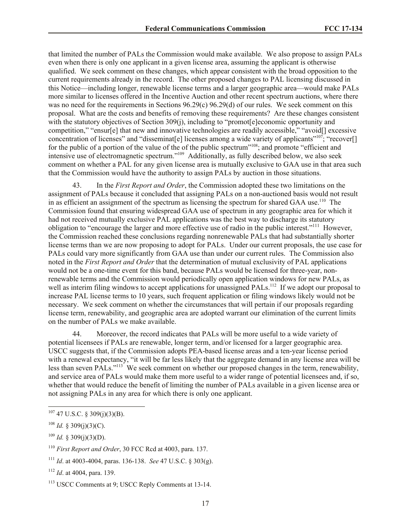that limited the number of PALs the Commission would make available. We also propose to assign PALs even when there is only one applicant in a given license area, assuming the applicant is otherwise qualified. We seek comment on these changes, which appear consistent with the broad opposition to the current requirements already in the record. The other proposed changes to PAL licensing discussed in this Notice—including longer, renewable license terms and a larger geographic area—would make PALs more similar to licenses offered in the Incentive Auction and other recent spectrum auctions, where there was no need for the requirements in Sections 96.29(c) 96.29(d) of our rules. We seek comment on this proposal. What are the costs and benefits of removing these requirements? Are these changes consistent with the statutory objectives of Section 309(j), including to "promot[e]economic opportunity and competition," "ensur[e] that new and innovative technologies are readily accessible," "avoid[] excessive concentration of licenses" and "disseminat[e] licenses among a wide variety of applicants"<sup>107</sup>; "recover[] for the public of a portion of the value of the of the public spectrum"<sup>108</sup>; and promote "efficient and intensive use of electromagnetic spectrum."<sup>109</sup> Additionally, as fully described below, we also seek comment on whether a PAL for any given license area is mutually exclusive to GAA use in that area such that the Commission would have the authority to assign PALs by auction in those situations.

43. In the *First Report and Order*, the Commission adopted these two limitations on the assignment of PALs because it concluded that assigning PALs on a non-auctioned basis would not result in as efficient an assignment of the spectrum as licensing the spectrum for shared GAA use.<sup>110</sup> The Commission found that ensuring widespread GAA use of spectrum in any geographic area for which it had not received mutually exclusive PAL applications was the best way to discharge its statutory obligation to "encourage the larger and more effective use of radio in the public interest."<sup>111</sup> However, the Commission reached these conclusions regarding nonrenewable PALs that had substantially shorter license terms than we are now proposing to adopt for PALs. Under our current proposals, the use case for PALs could vary more significantly from GAA use than under our current rules. The Commission also noted in the *First Report and Order* that the determination of mutual exclusivity of PAL applications would not be a one-time event for this band, because PALs would be licensed for three-year, nonrenewable terms and the Commission would periodically open application windows for new PALs, as well as interim filing windows to accept applications for unassigned PALs.<sup>112</sup> If we adopt our proposal to increase PAL license terms to 10 years, such frequent application or filing windows likely would not be necessary. We seek comment on whether the circumstances that will pertain if our proposals regarding license term, renewability, and geographic area are adopted warrant our elimination of the current limits on the number of PALs we make available.

44. Moreover, the record indicates that PALs will be more useful to a wide variety of potential licensees if PALs are renewable, longer term, and/or licensed for a larger geographic area. USCC suggests that, if the Commission adopts PEA-based license areas and a ten-year license period with a renewal expectancy, "it will be far less likely that the aggregate demand in any license area will be less than seven PALs."<sup>113</sup> We seek comment on whether our proposed changes in the term, renewability, and service area of PALs would make them more useful to a wider range of potential licensees and, if so, whether that would reduce the benefit of limiting the number of PALs available in a given license area or not assigning PALs in any area for which there is only one applicant.

 $107$  47 U.S.C. § 309(j)(3)(B).

<sup>&</sup>lt;sup>108</sup> *Id.* § 309(j)(3)(C).

<sup>&</sup>lt;sup>109</sup> *Id.* § 309(j)(3)(D).

<sup>110</sup> *First Report and Order*, 30 FCC Rcd at 4003, para. 137.

<sup>111</sup> *Id*. at 4003-4004, paras. 136-138. *See* 47 U.S.C. § 303(g).

<sup>112</sup> *Id*. at 4004, para. 139.

<sup>113</sup> USCC Comments at 9; USCC Reply Comments at 13-14.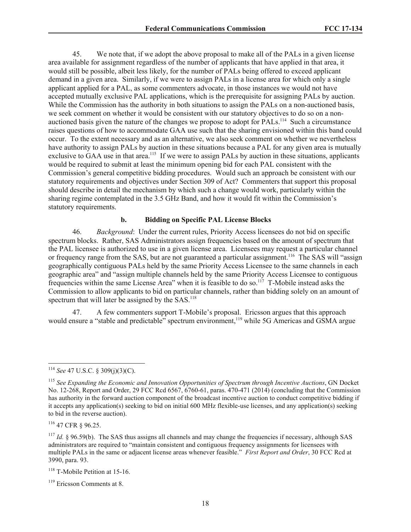45. We note that, if we adopt the above proposal to make all of the PALs in a given license area available for assignment regardless of the number of applicants that have applied in that area, it would still be possible, albeit less likely, for the number of PALs being offered to exceed applicant demand in a given area. Similarly, if we were to assign PALs in a license area for which only a single applicant applied for a PAL, as some commenters advocate, in those instances we would not have accepted mutually exclusive PAL applications, which is the prerequisite for assigning PALs by auction. While the Commission has the authority in both situations to assign the PALs on a non-auctioned basis, we seek comment on whether it would be consistent with our statutory objectives to do so on a nonauctioned basis given the nature of the changes we propose to adopt for PALs.<sup>114</sup> Such a circumstance raises questions of how to accommodate GAA use such that the sharing envisioned within this band could occur. To the extent necessary and as an alternative, we also seek comment on whether we nevertheless have authority to assign PALs by auction in these situations because a PAL for any given area is mutually exclusive to GAA use in that area.<sup>115</sup> If we were to assign PALs by auction in these situations, applicants would be required to submit at least the minimum opening bid for each PAL consistent with the Commission's general competitive bidding procedures. Would such an approach be consistent with our statutory requirements and objectives under Section 309 of Act? Commenters that support this proposal should describe in detail the mechanism by which such a change would work, particularly within the sharing regime contemplated in the 3.5 GHz Band, and how it would fit within the Commission's statutory requirements.

#### **b. Bidding on Specific PAL License Blocks**

46. *Background*: Under the current rules, Priority Access licensees do not bid on specific spectrum blocks. Rather, SAS Administrators assign frequencies based on the amount of spectrum that the PAL licensee is authorized to use in a given license area. Licensees may request a particular channel or frequency range from the SAS, but are not guaranteed a particular assignment.<sup>116</sup> The SAS will "assign geographically contiguous PALs held by the same Priority Access Licensee to the same channels in each geographic area" and "assign multiple channels held by the same Priority Access Licensee to contiguous frequencies within the same License Area" when it is feasible to do so.<sup>117</sup> T-Mobile instead asks the Commission to allow applicants to bid on particular channels, rather than bidding solely on an amount of spectrum that will later be assigned by the SAS.<sup>118</sup>

47. A few commenters support T-Mobile's proposal. Ericsson argues that this approach would ensure a "stable and predictable" spectrum environment, <sup>119</sup> while 5G Americas and GSMA argue

<sup>114</sup> *See* 47 U.S.C. § 309(j)(3)(C).

<sup>115</sup> *See Expanding the Economic and Innovation Opportunities of Spectrum through Incentive Auctions*, GN Docket No. 12-268, Report and Order, 29 FCC Rcd 6567, 6760-61, paras. 470-471 (2014) (concluding that the Commission has authority in the forward auction component of the broadcast incentive auction to conduct competitive bidding if it accepts any application(s) seeking to bid on initial 600 MHz flexible-use licenses, and any application(s) seeking to bid in the reverse auction).

<sup>116</sup> 47 CFR § 96.25.

 $117$  *Id.* § 96.59(b). The SAS thus assigns all channels and may change the frequencies if necessary, although SAS administrators are required to "maintain consistent and contiguous frequency assignments for licensees with multiple PALs in the same or adjacent license areas whenever feasible." *First Report and Order*, 30 FCC Rcd at 3990, para. 93.

<sup>&</sup>lt;sup>118</sup> T-Mobile Petition at 15-16.

<sup>119</sup> Ericsson Comments at 8.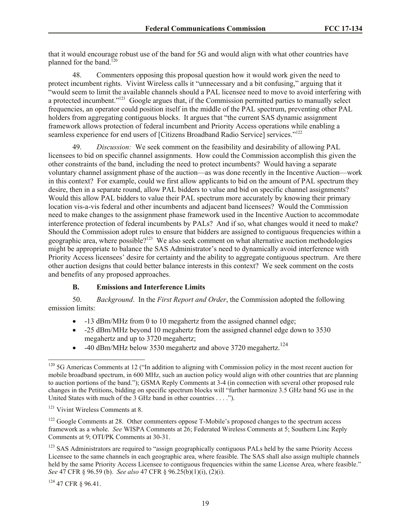that it would encourage robust use of the band for 5G and would align with what other countries have planned for the band. $120$ 

48. Commenters opposing this proposal question how it would work given the need to protect incumbent rights. Vivint Wireless calls it "unnecessary and a bit confusing," arguing that it "would seem to limit the available channels should a PAL licensee need to move to avoid interfering with a protected incumbent."<sup>121</sup> Google argues that, if the Commission permitted parties to manually select frequencies, an operator could position itself in the middle of the PAL spectrum, preventing other PAL holders from aggregating contiguous blocks. It argues that "the current SAS dynamic assignment framework allows protection of federal incumbent and Priority Access operations while enabling a seamless experience for end users of [Citizens Broadband Radio Service] services."<sup>122</sup>

49. *Discussion:* We seek comment on the feasibility and desirability of allowing PAL licensees to bid on specific channel assignments. How could the Commission accomplish this given the other constraints of the band, including the need to protect incumbents? Would having a separate voluntary channel assignment phase of the auction—as was done recently in the Incentive Auction—work in this context? For example, could we first allow applicants to bid on the amount of PAL spectrum they desire, then in a separate round, allow PAL bidders to value and bid on specific channel assignments? Would this allow PAL bidders to value their PAL spectrum more accurately by knowing their primary location vis-a-vis federal and other incumbents and adjacent band licensees? Would the Commission need to make changes to the assignment phase framework used in the Incentive Auction to accommodate interference protection of federal incumbents by PALs? And if so, what changes would it need to make? Should the Commission adopt rules to ensure that bidders are assigned to contiguous frequencies within a geographic area, where possible?<sup>123</sup> We also seek comment on what alternative auction methodologies might be appropriate to balance the SAS Administrator's need to dynamically avoid interference with Priority Access licensees' desire for certainty and the ability to aggregate contiguous spectrum. Are there other auction designs that could better balance interests in this context? We seek comment on the costs and benefits of any proposed approaches.

#### **B. Emissions and Interference Limits**

50. *Background*. In the *First Report and Order*, the Commission adopted the following emission limits:

- -13 dBm/MHz from 0 to 10 megahertz from the assigned channel edge;
- -25 dBm/MHz beyond 10 megahertz from the assigned channel edge down to 3530 megahertz and up to 3720 megahertz;
- $\bullet$  -40 dBm/MHz below 3530 megahertz and above 3720 megahertz.<sup>124</sup>

<sup>124</sup> 47 CFR § 96.41.

l <sup>120</sup> 5G Americas Comments at 12 ("In addition to aligning with Commission policy in the most recent auction for mobile broadband spectrum, in 600 MHz, such an auction policy would align with other countries that are planning to auction portions of the band."); GSMA Reply Comments at 3-4 (in connection with several other proposed rule changes in the Petitions, bidding on specific spectrum blocks will "further harmonize 3.5 GHz band 5G use in the United States with much of the 3 GHz band in other countries . . . .").

<sup>&</sup>lt;sup>121</sup> Vivint Wireless Comments at 8.

<sup>&</sup>lt;sup>122</sup> Google Comments at 28. Other commenters oppose T-Mobile's proposed changes to the spectrum access framework as a whole. *See* WISPA Comments at 26; Federated Wireless Comments at 5; Southern Linc Reply Comments at 9; OTI/PK Comments at 30-31.

<sup>&</sup>lt;sup>123</sup> SAS Administrators are required to "assign geographically contiguous PALs held by the same Priority Access Licensee to the same channels in each geographic area, where feasible. The SAS shall also assign multiple channels held by the same Priority Access Licensee to contiguous frequencies within the same License Area, where feasible." *See* 47 CFR § 96.59 (b). *See also* 47 CFR § 96.25(b)(1)(i), (2)(i).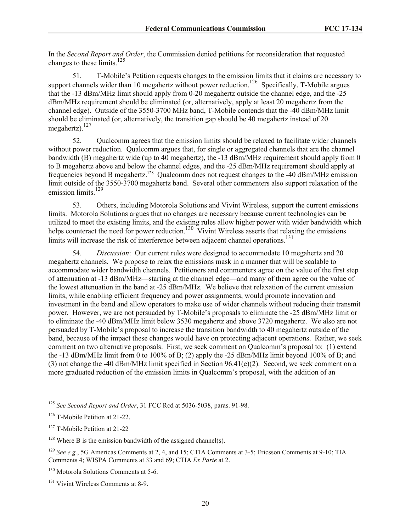In the *Second Report and Order*, the Commission denied petitions for reconsideration that requested changes to these limits.<sup>125</sup>

51. T-Mobile's Petition requests changes to the emission limits that it claims are necessary to support channels wider than 10 megahertz without power reduction.<sup>126</sup> Specifically, T-Mobile argues that the -13 dBm/MHz limit should apply from 0-20 megahertz outside the channel edge, and the -25 dBm/MHz requirement should be eliminated (or, alternatively, apply at least 20 megahertz from the channel edge). Outside of the 3550-3700 MHz band, T-Mobile contends that the -40 dBm/MHz limit should be eliminated (or, alternatively, the transition gap should be 40 megahertz instead of 20 megahertz). $^{127}$ 

52. Qualcomm agrees that the emission limits should be relaxed to facilitate wider channels without power reduction. Qualcomm argues that, for single or aggregated channels that are the channel bandwidth (B) megahertz wide (up to 40 megahertz), the -13 dBm/MHz requirement should apply from 0 to B megahertz above and below the channel edges, and the -25 dBm/MHz requirement should apply at frequencies beyond B megahertz.<sup>128</sup> Qualcomm does not request changes to the -40 dBm/MHz emission limit outside of the 3550-3700 megahertz band. Several other commenters also support relaxation of the emission limits.<sup>129</sup>

53. Others, including Motorola Solutions and Vivint Wireless, support the current emissions limits. Motorola Solutions argues that no changes are necessary because current technologies can be utilized to meet the existing limits, and the existing rules allow higher power with wider bandwidth which helps counteract the need for power reduction.<sup>130</sup> Vivint Wireless asserts that relaxing the emissions limits will increase the risk of interference between adjacent channel operations.<sup>131</sup>

54. *Discussion*: Our current rules were designed to accommodate 10 megahertz and 20 megahertz channels. We propose to relax the emissions mask in a manner that will be scalable to accommodate wider bandwidth channels. Petitioners and commenters agree on the value of the first step of attenuation at -13 dBm/MHz—starting at the channel edge—and many of them agree on the value of the lowest attenuation in the band at -25 dBm/MHz. We believe that relaxation of the current emission limits, while enabling efficient frequency and power assignments, would promote innovation and investment in the band and allow operators to make use of wider channels without reducing their transmit power. However, we are not persuaded by T-Mobile's proposals to eliminate the -25 dBm/MHz limit or to eliminate the -40 dBm/MHz limit below 3530 megahertz and above 3720 megahertz. We also are not persuaded by T-Mobile's proposal to increase the transition bandwidth to 40 megahertz outside of the band, because of the impact these changes would have on protecting adjacent operations. Rather, we seek comment on two alternative proposals. First, we seek comment on Qualcomm's proposal to: (1) extend the -13 dBm/MHz limit from 0 to 100% of B; (2) apply the -25 dBm/MHz limit beyond 100% of B; and (3) not change the -40 dBm/MHz limit specified in Section  $96.41(e)(2)$ . Second, we seek comment on a more graduated reduction of the emission limits in Qualcomm's proposal, with the addition of an

<sup>125</sup> *See Second Report and Order*, 31 FCC Rcd at 5036-5038, paras. 91-98.

<sup>126</sup> T-Mobile Petition at 21-22.

<sup>127</sup> T-Mobile Petition at 21-22

 $128$  Where B is the emission bandwidth of the assigned channel(s).

<sup>129</sup> *See e.g.*, 5G Americas Comments at 2, 4, and 15; CTIA Comments at 3-5; Ericsson Comments at 9-10; TIA Comments 4; WISPA Comments at 33 and 69; CTIA *Ex Parte* at 2.

<sup>&</sup>lt;sup>130</sup> Motorola Solutions Comments at 5-6.

<sup>&</sup>lt;sup>131</sup> Vivint Wireless Comments at 8-9.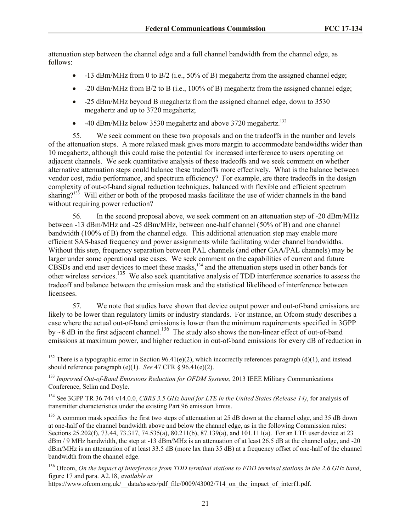attenuation step between the channel edge and a full channel bandwidth from the channel edge, as follows:

- $\bullet$  -13 dBm/MHz from 0 to B/2 (i.e., 50% of B) megahertz from the assigned channel edge;
- $\bullet$  -20 dBm/MHz from B/2 to B (i.e., 100% of B) megahertz from the assigned channel edge;
- -25 dBm/MHz beyond B megahertz from the assigned channel edge, down to 3530 megahertz and up to 3720 megahertz;
- $\bullet$  -40 dBm/MHz below 3530 megahertz and above 3720 megahertz.<sup>132</sup>

55. We seek comment on these two proposals and on the tradeoffs in the number and levels of the attenuation steps. A more relaxed mask gives more margin to accommodate bandwidths wider than 10 megahertz, although this could raise the potential for increased interference to users operating on adjacent channels. We seek quantitative analysis of these tradeoffs and we seek comment on whether alternative attenuation steps could balance these tradeoffs more effectively. What is the balance between vendor cost, radio performance, and spectrum efficiency? For example, are there tradeoffs in the design complexity of out-of-band signal reduction techniques, balanced with flexible and efficient spectrum sharing?<sup>133</sup> Will either or both of the proposed masks facilitate the use of wider channels in the band without requiring power reduction?

56. In the second proposal above, we seek comment on an attenuation step of -20 dBm/MHz between -13 dBm/MHz and -25 dBm/MHz, between one-half channel (50% of B) and one channel bandwidth (100% of B) from the channel edge. This additional attenuation step may enable more efficient SAS-based frequency and power assignments while facilitating wider channel bandwidths. Without this step, frequency separation between PAL channels (and other GAA/PAL channels) may be larger under some operational use cases. We seek comment on the capabilities of current and future CBSDs and end user devices to meet these masks, $134$  and the attenuation steps used in other bands for other wireless services.<sup>135</sup> We also seek quantitative analysis of TDD interference scenarios to assess the tradeoff and balance between the emission mask and the statistical likelihood of interference between licensees.

57. We note that studies have shown that device output power and out-of-band emissions are likely to be lower than regulatory limits or industry standards. For instance, an Ofcom study describes a case where the actual out-of-band emissions is lower than the minimum requirements specified in 3GPP by  $\sim$ 8 dB in the first adjacent channel.<sup>136</sup> The study also shows the non-linear effect of out-of-band emissions at maximum power, and higher reduction in out-of-band emissions for every dB of reduction in

 $\overline{\phantom{a}}$ 

https://www.ofcom.org.uk/\_\_data/assets/pdf\_file/0009/43002/714\_on\_the\_impact\_of\_interf1.pdf.

<sup>&</sup>lt;sup>132</sup> There is a typographic error in Section 96.41(e)(2), which incorrectly references paragraph (d)(1), and instead should reference paragraph (e)(1). *See* 47 CFR  $\S$  96.41(e)(2).

<sup>133</sup> *Improved Out-of-Band Emissions Reduction for OFDM Systems*, 2013 IEEE Military Communications Conference, Selim and Doyle.

<sup>134</sup> See 3GPP TR 36.744 v14.0.0, *CBRS 3.5 GHz band for LTE in the United States (Release 14)*, for analysis of transmitter characteristics under the existing Part 96 emission limits.

 $135$  A common mask specifies the first two steps of attenuation at 25 dB down at the channel edge, and 35 dB down at one-half of the channel bandwidth above and below the channel edge, as in the following Commission rules: Sections 25.202(f), 73.44, 73.317, 74.535(a), 80.211(b), 87.139(a), and 101.111(a). For an LTE user device at 23 dBm / 9 MHz bandwidth, the step at -13 dBm/MHz is an attenuation of at least 26.5 dB at the channel edge, and -20 dBm/MHz is an attenuation of at least 33.5 dB (more lax than 35 dB) at a frequency offset of one-half of the channel bandwidth from the channel edge.

<sup>136</sup> Ofcom, *On the impact of interference from TDD terminal stations to FDD terminal stations in the 2.6 GHz band*, figure 17 and para. A2.18, *available at*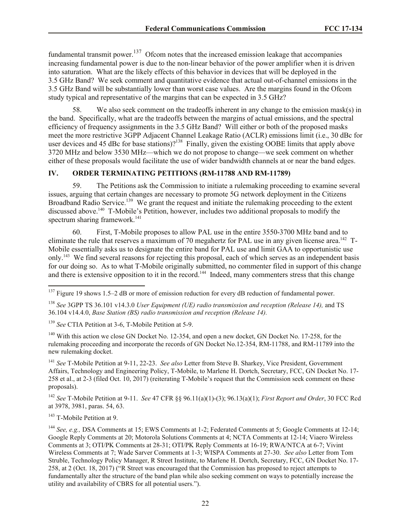fundamental transmit power.<sup>137</sup> Ofcom notes that the increased emission leakage that accompanies increasing fundamental power is due to the non-linear behavior of the power amplifier when it is driven into saturation. What are the likely effects of this behavior in devices that will be deployed in the 3.5 GHz Band? We seek comment and quantitative evidence that actual out-of-channel emissions in the 3.5 GHz Band will be substantially lower than worst case values. Are the margins found in the Ofcom study typical and representative of the margins that can be expected in 3.5 GHz?

We also seek comment on the tradeoffs inherent in any change to the emission mask(s) in the band. Specifically, what are the tradeoffs between the margins of actual emissions, and the spectral efficiency of frequency assignments in the 3.5 GHz Band? Will either or both of the proposed masks meet the more restrictive 3GPP Adjacent Channel Leakage Ratio (ACLR) emissions limit (i.e., 30 dBc for user devices and 45 dBc for base stations)?<sup>138</sup> Finally, given the existing OOBE limits that apply above 3720 MHz and below 3530 MHz—which we do not propose to change—we seek comment on whether either of these proposals would facilitate the use of wider bandwidth channels at or near the band edges.

#### **IV. ORDER TERMINATING PETITIONS (RM-11788 AND RM-11789)**

59. The Petitions ask the Commission to initiate a rulemaking proceeding to examine several issues, arguing that certain changes are necessary to promote 5G network deployment in the Citizens Broadband Radio Service.<sup>139</sup> We grant the request and initiate the rulemaking proceeding to the extent discussed above.<sup>140</sup> T-Mobile's Petition, however, includes two additional proposals to modify the spectrum sharing framework.<sup>141</sup>

60. First, T-Mobile proposes to allow PAL use in the entire 3550-3700 MHz band and to eliminate the rule that reserves a maximum of 70 megahertz for PAL use in any given license area.<sup>142</sup> T-Mobile essentially asks us to designate the entire band for PAL use and limit GAA to opportunistic use only.<sup>143</sup> We find several reasons for rejecting this proposal, each of which serves as an independent basis for our doing so. As to what T-Mobile originally submitted, no commenter filed in support of this change and there is extensive opposition to it in the record.<sup>144</sup> Indeed, many commenters stress that this change

<sup>138</sup> *See* 3GPP TS 36.101 v14.3.0 *User Equipment (UE) radio transmission and reception (Release 14),* and TS 36.104 v14.4.0, *Base Station (BS) radio transmission and reception (Release 14).*

<sup>139</sup> *See* CTIA Petition at 3-6, T-Mobile Petition at 5-9.

<sup>140</sup> With this action we close GN Docket No. 12-354, and open a new docket, GN Docket No. 17-258, for the rulemaking proceeding and incorporate the records of GN Docket No.12-354, RM-11788, and RM-11789 into the new rulemaking docket.

<sup>141</sup> *See* T-Mobile Petition at 9-11, 22-23. *See also* Letter from Steve B. Sharkey, Vice President, Government Affairs, Technology and Engineering Policy, T-Mobile, to Marlene H. Dortch, Secretary, FCC, GN Docket No. 17- 258 et al., at 2-3 (filed Oct. 10, 2017) (reiterating T-Mobile's request that the Commission seek comment on these proposals).

<sup>142</sup> *See* T-Mobile Petition at 9-11. *See* 47 CFR §§ 96.11(a)(1)-(3); 96.13(a)(1); *First Report and Order*, 30 FCC Rcd at 3978, 3981, paras. 54, 63.

 $143$  T-Mobile Petition at 9.

 $137$  Figure 19 shows 1.5–2 dB or more of emission reduction for every dB reduction of fundamental power.

<sup>144</sup> *See, e.g.,* DSA Comments at 15; EWS Comments at 1-2; Federated Comments at 5; Google Comments at 12-14; Google Reply Comments at 20; Motorola Solutions Comments at 4; NCTA Comments at 12-14; Viaero Wireless Comments at 3; OTI/PK Comments at 28-31; OTI/PK Reply Comments at 16-19; RWA/NTCA at 6-7; Vivint Wireless Comments at 7; Wade Sarver Comments at 1-3; WISPA Comments at 27-30. *See also* Letter from Tom Struble, Technology Policy Manager, R Street Institute, to Marlene H. Dortch, Secretary, FCC, GN Docket No. 17- 258, at 2 (Oct. 18, 2017) ("R Street was encouraged that the Commission has proposed to reject attempts to fundamentally alter the structure of the band plan while also seeking comment on ways to potentially increase the utility and availability of CBRS for all potential users.").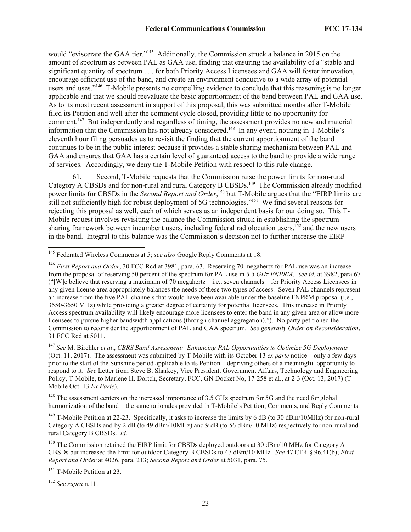would "eviscerate the GAA tier."<sup>145</sup> Additionally, the Commission struck a balance in 2015 on the amount of spectrum as between PAL as GAA use, finding that ensuring the availability of a "stable and significant quantity of spectrum . . . for both Priority Access Licensees and GAA will foster innovation, encourage efficient use of the band, and create an environment conducive to a wide array of potential users and uses."<sup>146</sup> T-Mobile presents no compelling evidence to conclude that this reasoning is no longer applicable and that we should reevaluate the basic apportionment of the band between PAL and GAA use. As to its most recent assessment in support of this proposal, this was submitted months after T-Mobile filed its Petition and well after the comment cycle closed, providing little to no opportunity for comment.<sup>147</sup> But independently and regardless of timing, the assessment provides no new and material information that the Commission has not already considered.<sup>148</sup> In any event, nothing in T-Mobile's eleventh hour filing persuades us to revisit the finding that the current apportionment of the band continues to be in the public interest because it provides a stable sharing mechanism between PAL and GAA and ensures that GAA has a certain level of guaranteed access to the band to provide a wide range of services. Accordingly, we deny the T-Mobile Petition with respect to this rule change.

61. Second, T-Mobile requests that the Commission raise the power limits for non-rural Category A CBSDs and for non-rural and rural Category B CBSDs.<sup>149</sup> The Commission already modified power limits for CBSDs in the *Second Report and Order*, <sup>150</sup> but T-Mobile argues that the "EIRP limits are still not sufficiently high for robust deployment of 5G technologies."<sup>151</sup> We find several reasons for rejecting this proposal as well, each of which serves as an independent basis for our doing so. This T-Mobile request involves revisiting the balance the Commission struck in establishing the spectrum sharing framework between incumbent users, including federal radiolocation users,  $152$  and the new users in the band. Integral to this balance was the Commission's decision not to further increase the EIRP

<sup>147</sup> *See* M. Birchler *et al*., *CBRS Band Assessment: Enhancing PAL Opportunities to Optimize 5G Deployments* (Oct. 11, 2017). The assessment was submitted by T-Mobile with its October 13 *ex parte* notice—only a few days prior to the start of the Sunshine period applicable to its Petition—depriving others of a meaningful opportunity to respond to it. *See* Letter from Steve B. Sharkey, Vice President, Government Affairs, Technology and Engineering Policy, T-Mobile, to Marlene H. Dortch, Secretary, FCC, GN Docket No, 17-258 et al., at 2-3 (Oct. 13, 2017) (T-Mobile Oct. 13 *Ex Parte*).

<sup>148</sup> The assessment centers on the increased importance of 3.5 GHz spectrum for 5G and the need for global harmonization of the band—the same rationales provided in T-Mobile's Petition, Comments, and Reply Comments.

<sup>149</sup> T-Mobile Petition at 22-23. Specifically, it asks to increase the limits by 6 dB (to 30 dBm/10MHz) for non-rural Category A CBSDs and by 2 dB (to 49 dBm/10MHz) and 9 dB (to 56 dBm/10 MHz) respectively for non-rural and rural Category B CBSDs. *Id.*

<sup>150</sup> The Commission retained the EIRP limit for CBSDs deployed outdoors at 30 dBm/10 MHz for Category A CBSDs but increased the limit for outdoor Category B CBSDs to 47 dBm/10 MHz. *See* 47 CFR § 96.41(b); *First Report and Order* at 4026, para. 213; *Second Report and Order* at 5031, para. 75.

<sup>151</sup> T-Mobile Petition at 23.

<sup>152</sup> *See supra* n.11.

 $\overline{\phantom{a}}$ 

<sup>145</sup> Federated Wireless Comments at 5; *see also* Google Reply Comments at 18.

<sup>146</sup> *First Report and Order*, 30 FCC Rcd at 3981, para. 63. Reserving 70 megahertz for PAL use was an increase from the proposal of reserving 50 percent of the spectrum for PAL use in *3.5 GHz FNPRM*. *See id.* at 3982, para 67 ("[W]e believe that reserving a maximum of 70 megahertz—i.e., seven channels—for Priority Access Licensees in any given license area appropriately balances the needs of these two types of access. Seven PAL channels represent an increase from the five PAL channels that would have been available under the baseline FNPRM proposal (i.e., 3550-3650 MHz) while providing a greater degree of certainty for potential licensees. This increase in Priority Access spectrum availability will likely encourage more licensees to enter the band in any given area or allow more licensees to pursue higher bandwidth applications (through channel aggregation)."). No party petitioned the Commission to reconsider the apportionment of PAL and GAA spectrum. *See generally Order on Reconsideration*, 31 FCC Rcd at 5011.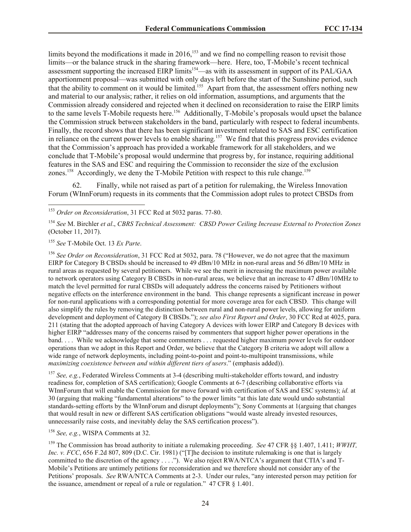limits beyond the modifications it made in  $2016$ ,<sup>153</sup> and we find no compelling reason to revisit those limits—or the balance struck in the sharing framework—here. Here, too, T-Mobile's recent technical assessment supporting the increased EIRP limits<sup>154</sup>—as with its assessment in support of its PAL/GAA apportionment proposal—was submitted with only days left before the start of the Sunshine period, such that the ability to comment on it would be limited.<sup>155</sup> Apart from that, the assessment offers nothing new and material to our analysis; rather, it relies on old information, assumptions, and arguments that the Commission already considered and rejected when it declined on reconsideration to raise the EIRP limits to the same levels T-Mobile requests here.<sup>156</sup> Additionally, T-Mobile's proposals would upset the balance the Commission struck between stakeholders in the band, particularly with respect to federal incumbents. Finally, the record shows that there has been significant investment related to SAS and ESC certification in reliance on the current power levels to enable sharing.<sup>157</sup> We find that this progress provides evidence that the Commission's approach has provided a workable framework for all stakeholders, and we conclude that T-Mobile's proposal would undermine that progress by, for instance, requiring additional features in the SAS and ESC and requiring the Commission to reconsider the size of the exclusion zones.<sup>158</sup> Accordingly, we deny the T-Mobile Petition with respect to this rule change.<sup>159</sup>

62. Finally, while not raised as part of a petition for rulemaking, the Wireless Innovation Forum (WInnForum) requests in its comments that the Commission adopt rules to protect CBSDs from

 $\overline{\phantom{a}}$ 

<sup>156</sup> See Order on Reconsideration, 31 FCC Rcd at 5032, para. 78 ("However, we do not agree that the maximum EIRP for Category B CBSDs should be increased to 49 dBm/10 MHz in non-rural areas and 56 dBm/10 MHz in rural areas as requested by several petitioners. While we see the merit in increasing the maximum power available to network operators using Category B CBSDs in non-rural areas, we believe that an increase to 47 dBm/10MHz to match the level permitted for rural CBSDs will adequately address the concerns raised by Petitioners without negative effects on the interference environment in the band. This change represents a significant increase in power for non-rural applications with a corresponding potential for more coverage area for each CBSD. This change will also simplify the rules by removing the distinction between rural and non-rural power levels, allowing for uniform development and deployment of Category B CBSDs."); *see also First Report and Order*, 30 FCC Rcd at 4025, para. 211 (stating that the adopted approach of having Category A devices with lower EIRP and Category B devices with higher EIRP "addresses many of the concerns raised by commenters that support higher power operations in the band. . . . While we acknowledge that some commenters . . . requested higher maximum power levels for outdoor operations than we adopt in this Report and Order, we believe that the Category B criteria we adopt will allow a wide range of network deployments, including point-to-point and point-to-multipoint transmissions, while *maximizing coexistence between and within different tiers of users*." (emphasis added)).

<sup>157</sup> *See, e.g.*, Federated Wireless Comments at 3-4 (describing multi-stakeholder efforts toward, and industry readiness for, completion of SAS certification); Google Comments at 6-7 (describing collaborative efforts via WInnForum that will enable the Commission for move forward with certification of SAS and ESC systems); *id.* at 30 (arguing that making "fundamental alterations" to the power limits "at this late date would undo substantial standards-setting efforts by the WInnForum and disrupt deployments"); Sony Comments at 1(arguing that changes that would result in new or different SAS certification obligations "would waste already invested resources, unnecessarily raise costs, and inevitably delay the SAS certification process").

<sup>158</sup> *See, e.g.*, WISPA Comments at 32.

<sup>159</sup> The Commission has broad authority to initiate a rulemaking proceeding. *See* 47 CFR §§ 1.407, 1.411; *WWHT, Inc. v. FCC*, 656 F.2d 807, 809 (D.C. Cir. 1981) ("[T]he decision to institute rulemaking is one that is largely committed to the discretion of the agency . . . ."). We also reject RWA/NTCA's argument that CTIA's and T-Mobile's Petitions are untimely petitions for reconsideration and we therefore should not consider any of the Petitions' proposals. *See* RWA/NTCA Comments at 2-3. Under our rules, "any interested person may petition for the issuance, amendment or repeal of a rule or regulation." 47 CFR § 1.401.

<sup>153</sup> *Order on Reconsideration*, 31 FCC Rcd at 5032 paras. 77-80.

<sup>154</sup> *See* M. Birchler *et al*., *CBRS Technical Assessment: CBSD Power Ceiling Increase External to Protection Zones* (October 11, 2017).

<sup>155</sup> *See* T-Mobile Oct. 13 *Ex Parte*.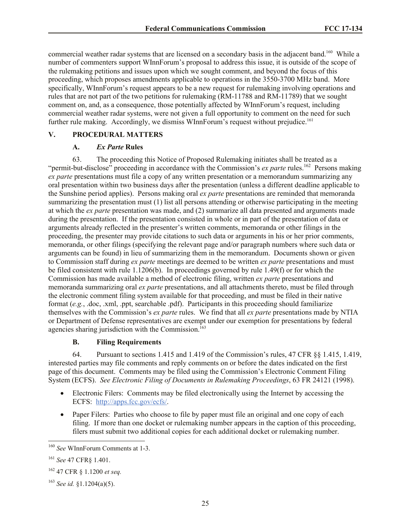commercial weather radar systems that are licensed on a secondary basis in the adjacent band.<sup>160</sup> While a number of commenters support WInnForum's proposal to address this issue, it is outside of the scope of the rulemaking petitions and issues upon which we sought comment, and beyond the focus of this proceeding, which proposes amendments applicable to operations in the 3550-3700 MHz band. More specifically, WInnForum's request appears to be a new request for rulemaking involving operations and rules that are not part of the two petitions for rulemaking (RM-11788 and RM-11789) that we sought comment on, and, as a consequence, those potentially affected by WInnForum's request, including commercial weather radar systems, were not given a full opportunity to comment on the need for such further rule making. Accordingly, we dismiss WInnForum's request without prejudice.<sup>161</sup>

### **V. PROCEDURAL MATTERS**

#### **A.** *Ex Parte* **Rules**

63. The proceeding this Notice of Proposed Rulemaking initiates shall be treated as a "permit-but-disclose" proceeding in accordance with the Commission's *ex parte* rules.<sup>162</sup> Persons making *ex parte* presentations must file a copy of any written presentation or a memorandum summarizing any oral presentation within two business days after the presentation (unless a different deadline applicable to the Sunshine period applies). Persons making oral *ex parte* presentations are reminded that memoranda summarizing the presentation must (1) list all persons attending or otherwise participating in the meeting at which the *ex parte* presentation was made, and (2) summarize all data presented and arguments made during the presentation. If the presentation consisted in whole or in part of the presentation of data or arguments already reflected in the presenter's written comments, memoranda or other filings in the proceeding, the presenter may provide citations to such data or arguments in his or her prior comments, memoranda, or other filings (specifying the relevant page and/or paragraph numbers where such data or arguments can be found) in lieu of summarizing them in the memorandum. Documents shown or given to Commission staff during *ex parte* meetings are deemed to be written *ex parte* presentations and must be filed consistent with rule 1.1206(b). In proceedings governed by rule 1.49(f) or for which the Commission has made available a method of electronic filing, written *ex parte* presentations and memoranda summarizing oral *ex parte* presentations, and all attachments thereto, must be filed through the electronic comment filing system available for that proceeding, and must be filed in their native format (*e.g.*, .doc, .xml, .ppt, searchable .pdf). Participants in this proceeding should familiarize themselves with the Commission's *ex parte* rules. We find that all *ex parte* presentations made by NTIA or Department of Defense representatives are exempt under our exemption for presentations by federal agencies sharing jurisdiction with the Commission.<sup>163</sup>

#### **B. Filing Requirements**

64. Pursuant to sections 1.415 and 1.419 of the Commission's rules, 47 CFR §§ 1.415, 1.419, interested parties may file comments and reply comments on or before the dates indicated on the first page of this document. Comments may be filed using the Commission's Electronic Comment Filing System (ECFS). *See Electronic Filing of Documents in Rulemaking Proceedings*, 63 FR 24121 (1998).

- Electronic Filers: Comments may be filed electronically using the Internet by accessing the ECFS: http://apps.fcc.gov/ecfs/.
- Paper Filers: Parties who choose to file by paper must file an original and one copy of each filing. If more than one docket or rulemaking number appears in the caption of this proceeding, filers must submit two additional copies for each additional docket or rulemaking number.

l <sup>160</sup> *See* WInnForum Comments at 1-3.

<sup>161</sup> *See* 47 CFR§ 1.401.

<sup>162</sup> 47 CFR § 1.1200 *et seq.*

<sup>163</sup> *See id.* §1.1204(a)(5).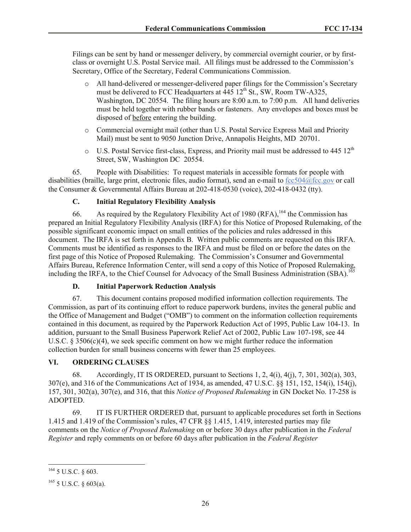Filings can be sent by hand or messenger delivery, by commercial overnight courier, or by firstclass or overnight U.S. Postal Service mail. All filings must be addressed to the Commission's Secretary, Office of the Secretary, Federal Communications Commission.

- o All hand-delivered or messenger-delivered paper filings for the Commission's Secretary must be delivered to FCC Headquarters at  $\overline{445}$  12<sup>th</sup> St., SW, Room TW-A325, Washington, DC 20554. The filing hours are 8:00 a.m. to 7:00 p.m. All hand deliveries must be held together with rubber bands or fasteners. Any envelopes and boxes must be disposed of before entering the building.
- o Commercial overnight mail (other than U.S. Postal Service Express Mail and Priority Mail) must be sent to 9050 Junction Drive, Annapolis Heights, MD 20701.
- $\circ$  U.S. Postal Service first-class, Express, and Priority mail must be addressed to 445 12<sup>th</sup> Street, SW, Washington DC 20554.

65. People with Disabilities: To request materials in accessible formats for people with disabilities (braille, large print, electronic files, audio format), send an e-mail to fcc504@fcc.gov or call the Consumer & Governmental Affairs Bureau at 202-418-0530 (voice), 202-418-0432 (tty).

## **C. Initial Regulatory Flexibility Analysis**

66. As required by the Regulatory Flexibility Act of 1980 (RFA),  $164$  the Commission has prepared an Initial Regulatory Flexibility Analysis (IRFA) for this Notice of Proposed Rulemaking, of the possible significant economic impact on small entities of the policies and rules addressed in this document. The IRFA is set forth in Appendix B. Written public comments are requested on this IRFA. Comments must be identified as responses to the IRFA and must be filed on or before the dates on the first page of this Notice of Proposed Rulemaking. The Commission's Consumer and Governmental Affairs Bureau, Reference Information Center, will send a copy of this Notice of Proposed Rulemaking, including the IRFA, to the Chief Counsel for Advocacy of the Small Business Administration (SBA).<sup>165</sup>

## **D. Initial Paperwork Reduction Analysis**

67. This document contains proposed modified information collection requirements. The Commission, as part of its continuing effort to reduce paperwork burdens, invites the general public and the Office of Management and Budget ("OMB") to comment on the information collection requirements contained in this document, as required by the Paperwork Reduction Act of 1995, Public Law 104-13. In addition, pursuant to the Small Business Paperwork Relief Act of 2002, Public Law 107-198, see 44 U.S.C.  $\S 3506(c)(4)$ , we seek specific comment on how we might further reduce the information collection burden for small business concerns with fewer than 25 employees.

## **VI. ORDERING CLAUSES**

68. Accordingly, IT IS ORDERED, pursuant to Sections 1, 2, 4(i), 4(j), 7, 301, 302(a), 303, 307(e), and 316 of the Communications Act of 1934, as amended, 47 U.S.C. §§ 151, 152, 154(i), 154(j), 157, 301, 302(a), 307(e), and 316, that this *Notice of Proposed Rulemaking* in GN Docket No. 17-258 is ADOPTED.

69. IT IS FURTHER ORDERED that, pursuant to applicable procedures set forth in Sections 1.415 and 1.419 of the Commission's rules, 47 CFR §§ 1.415, 1.419, interested parties may file comments on the *Notice of Proposed Rulemaking* on or before 30 days after publication in the *Federal Register* and reply comments on or before 60 days after publication in the *Federal Register*

 $164$  5 U.S.C. § 603.

 $165$  5 U.S.C. § 603(a).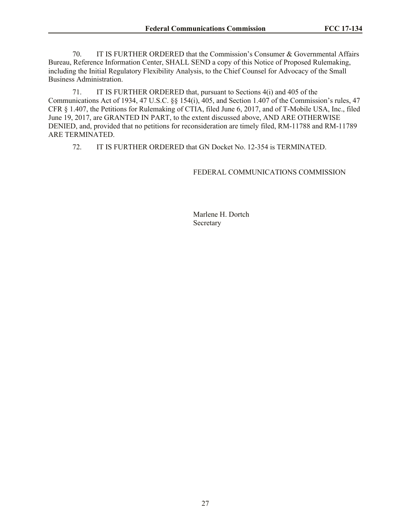70. IT IS FURTHER ORDERED that the Commission's Consumer & Governmental Affairs Bureau, Reference Information Center, SHALL SEND a copy of this Notice of Proposed Rulemaking, including the Initial Regulatory Flexibility Analysis, to the Chief Counsel for Advocacy of the Small Business Administration.

71. IT IS FURTHER ORDERED that, pursuant to Sections 4(i) and 405 of the Communications Act of 1934, 47 U.S.C. §§ 154(i), 405, and Section 1.407 of the Commission's rules, 47 CFR § 1.407, the Petitions for Rulemaking of CTIA, filed June 6, 2017, and of T-Mobile USA, Inc., filed June 19, 2017, are GRANTED IN PART, to the extent discussed above, AND ARE OTHERWISE DENIED, and, provided that no petitions for reconsideration are timely filed, RM-11788 and RM-11789 ARE TERMINATED.

72. IT IS FURTHER ORDERED that GN Docket No. 12-354 is TERMINATED.

#### FEDERAL COMMUNICATIONS COMMISSION

Marlene H. Dortch Secretary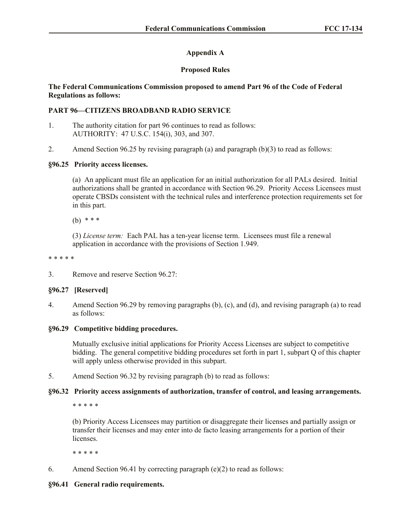# **Appendix A**

# **Proposed Rules**

## **The Federal Communications Commission proposed to amend Part 96 of the Code of Federal Regulations as follows:**

# **PART 96—CITIZENS BROADBAND RADIO SERVICE**

- 1. The authority citation for part 96 continues to read as follows: AUTHORITY: 47 U.S.C. 154(i), 303, and 307.
- 2. Amend Section 96.25 by revising paragraph (a) and paragraph (b)(3) to read as follows:

## **§96.25 Priority access licenses.**

(a) An applicant must file an application for an initial authorization for all PALs desired. Initial authorizations shall be granted in accordance with Section 96.29. Priority Access Licensees must operate CBSDs consistent with the technical rules and interference protection requirements set for in this part.

(b) \* \* \*

(3) *License term:* Each PAL has a ten-year license term. Licensees must file a renewal application in accordance with the provisions of Section 1.949.

\* \* \* \* \*

3. Remove and reserve Section 96.27:

## **§96.27 [Reserved]**

4. Amend Section 96.29 by removing paragraphs (b), (c), and (d), and revising paragraph (a) to read as follows:

## **§96.29 Competitive bidding procedures.**

Mutually exclusive initial applications for Priority Access Licenses are subject to competitive bidding. The general competitive bidding procedures set forth in part 1, subpart Q of this chapter will apply unless otherwise provided in this subpart.

5. Amend Section 96.32 by revising paragraph (b) to read as follows:

## **§96.32 Priority access assignments of authorization, transfer of control, and leasing arrangements.**

\* \* \* \* \*

(b) Priority Access Licensees may partition or disaggregate their licenses and partially assign or transfer their licenses and may enter into de facto leasing arrangements for a portion of their licenses.

\* \* \* \* \*

6. Amend Section 96.41 by correcting paragraph (e)(2) to read as follows:

## **§96.41 General radio requirements.**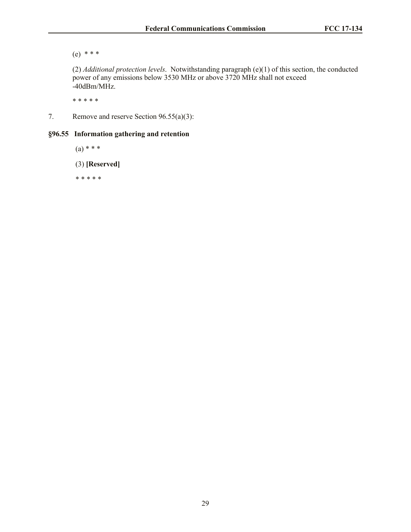(e) \* \* \*

(2) *Additional protection levels*. Notwithstanding paragraph (e)(1) of this section, the conducted power of any emissions below 3530 MHz or above 3720 MHz shall not exceed -40dBm/MHz.

\* \* \* \* \*

7. Remove and reserve Section 96.55(a)(3):

# **§96.55 Information gathering and retention**

 $(a) * * * *$ 

(3) **[Reserved]**

\* \* \* \* \*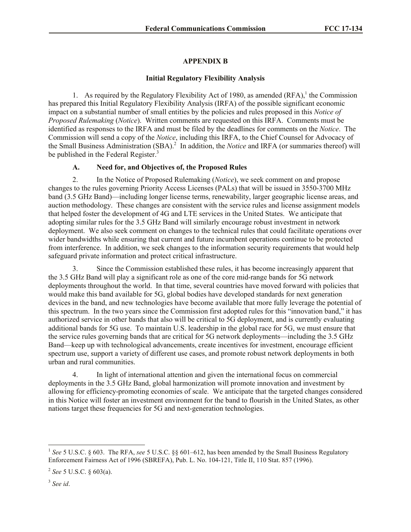# **APPENDIX B**

# **Initial Regulatory Flexibility Analysis**

1. As required by the Regulatory Flexibility Act of 1980, as amended  $(RFA)$ , the Commission has prepared this Initial Regulatory Flexibility Analysis (IRFA) of the possible significant economic impact on a substantial number of small entities by the policies and rules proposed in this *Notice of Proposed Rulemaking* (*Notice*). Written comments are requested on this IRFA. Comments must be identified as responses to the IRFA and must be filed by the deadlines for comments on the *Notice*. The Commission will send a copy of the *Notice*, including this IRFA, to the Chief Counsel for Advocacy of the Small Business Administration (SBA).<sup>2</sup> In addition, the *Notice* and IRFA (or summaries thereof) will be published in the Federal Register.<sup>3</sup>

# **A. Need for, and Objectives of, the Proposed Rules**

2. In the Notice of Proposed Rulemaking (*Notice*), we seek comment on and propose changes to the rules governing Priority Access Licenses (PALs) that will be issued in 3550-3700 MHz band (3.5 GHz Band)—including longer license terms, renewability, larger geographic license areas, and auction methodology. These changes are consistent with the service rules and license assignment models that helped foster the development of 4G and LTE services in the United States. We anticipate that adopting similar rules for the 3.5 GHz Band will similarly encourage robust investment in network deployment. We also seek comment on changes to the technical rules that could facilitate operations over wider bandwidths while ensuring that current and future incumbent operations continue to be protected from interference. In addition, we seek changes to the information security requirements that would help safeguard private information and protect critical infrastructure.

3. Since the Commission established these rules, it has become increasingly apparent that the 3.5 GHz Band will play a significant role as one of the core mid-range bands for 5G network deployments throughout the world. In that time, several countries have moved forward with policies that would make this band available for 5G, global bodies have developed standards for next generation devices in the band, and new technologies have become available that more fully leverage the potential of this spectrum. In the two years since the Commission first adopted rules for this "innovation band," it has authorized service in other bands that also will be critical to 5G deployment, and is currently evaluating additional bands for 5G use. To maintain U.S. leadership in the global race for 5G, we must ensure that the service rules governing bands that are critical for 5G network deployments—including the 3.5 GHz Band—keep up with technological advancements, create incentives for investment, encourage efficient spectrum use, support a variety of different use cases, and promote robust network deployments in both urban and rural communities.

4. In light of international attention and given the international focus on commercial deployments in the 3.5 GHz Band, global harmonization will promote innovation and investment by allowing for efficiency-promoting economies of scale. We anticipate that the targeted changes considered in this Notice will foster an investment environment for the band to flourish in the United States, as other nations target these frequencies for 5G and next-generation technologies.

l <sup>1</sup> See 5 U.S.C. § 603. The RFA, see 5 U.S.C. §§ 601–612, has been amended by the Small Business Regulatory Enforcement Fairness Act of 1996 (SBREFA), Pub. L. No. 104-121, Title II, 110 Stat. 857 (1996).

<sup>2</sup> *See* 5 U.S.C. § 603(a).

<sup>3</sup> *See id*.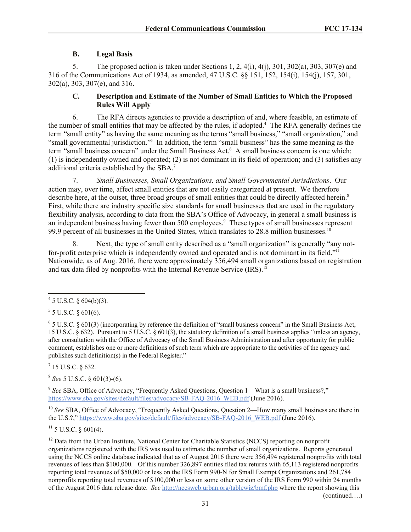# **B. Legal Basis**

5. The proposed action is taken under Sections 1, 2, 4(i), 4(j), 301, 302(a), 303, 307(e) and 316 of the Communications Act of 1934, as amended, 47 U.S.C. §§ 151, 152, 154(i), 154(j), 157, 301, 302(a), 303, 307(e), and 316.

## **C. Description and Estimate of the Number of Small Entities to Which the Proposed Rules Will Apply**

6. The RFA directs agencies to provide a description of and, where feasible, an estimate of the number of small entities that may be affected by the rules, if adopted.<sup>4</sup> The RFA generally defines the term "small entity" as having the same meaning as the terms "small business," "small organization," and "small governmental jurisdiction."<sup>5</sup> In addition, the term "small business" has the same meaning as the term "small business concern" under the Small Business Act.<sup>6</sup> A small business concern is one which: (1) is independently owned and operated; (2) is not dominant in its field of operation; and (3) satisfies any additional criteria established by the SBA.<sup>7</sup>

7. *Small Businesses, Small Organizations, and Small Governmental Jurisdictions*. Our action may, over time, affect small entities that are not easily categorized at present. We therefore describe here, at the outset, three broad groups of small entities that could be directly affected herein.<sup>8</sup> First, while there are industry specific size standards for small businesses that are used in the regulatory flexibility analysis, according to data from the SBA's Office of Advocacy, in general a small business is an independent business having fewer than 500 employees.<sup>9</sup> These types of small businesses represent 99.9 percent of all businesses in the United States, which translates to 28.8 million businesses.<sup>10</sup>

8. Next, the type of small entity described as a "small organization" is generally "any notfor-profit enterprise which is independently owned and operated and is not dominant in its field."<sup>11</sup> Nationwide, as of Aug. 2016, there were approximately 356,494 small organizations based on registration and tax data filed by nonprofits with the Internal Revenue Service (IRS).<sup>12</sup>

 $^{7}$  15 U.S.C. § 632.

8 *See* 5 U.S.C. § 601(3)-(6).

<sup>9</sup> See SBA, Office of Advocacy, "Frequently Asked Questions, Question 1—What is a small business?," https://www.sba.gov/sites/default/files/advocacy/SB-FAQ-2016\_WEB.pdf (June 2016).

<sup>10</sup> See SBA, Office of Advocacy, "Frequently Asked Questions, Question 2—How many small business are there in the U.S.?," https://www.sba.gov/sites/default/files/advocacy/SB-FAQ-2016\_WEB.pdf (June 2016).

 $11$  5 U.S.C. § 601(4).

<sup>12</sup> Data from the Urban Institute, National Center for Charitable Statistics (NCCS) reporting on nonprofit organizations registered with the IRS was used to estimate the number of small organizations. Reports generated using the NCCS online database indicated that as of August 2016 there were 356,494 registered nonprofits with total revenues of less than \$100,000. Of this number 326,897 entities filed tax returns with 65,113 registered nonprofits reporting total revenues of \$50,000 or less on the IRS Form 990-N for Small Exempt Organizations and 261,784 nonprofits reporting total revenues of \$100,000 or less on some other version of the IRS Form 990 within 24 months of the August 2016 data release date. *See* http://nccsweb.urban.org/tablewiz/bmf.php where the report showing this

(continued….)

 $4\overline{5}$  U.S.C. § 604(b)(3).

 $5$  5 U.S.C. § 601(6).

 $6$  5 U.S.C. § 601(3) (incorporating by reference the definition of "small business concern" in the Small Business Act, 15 U.S.C. § 632). Pursuant to 5 U.S.C. § 601(3), the statutory definition of a small business applies "unless an agency, after consultation with the Office of Advocacy of the Small Business Administration and after opportunity for public comment, establishes one or more definitions of such term which are appropriate to the activities of the agency and publishes such definition(s) in the Federal Register."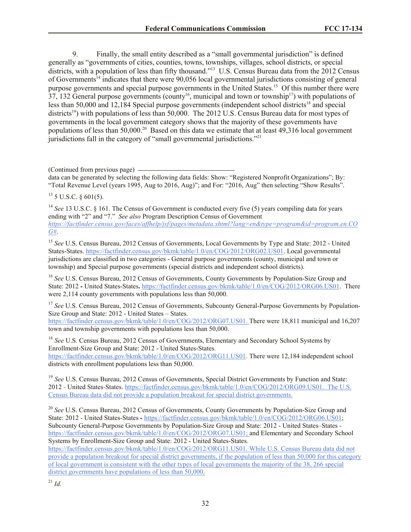9. Finally, the small entity described as a "small governmental jurisdiction" is defined generally as "governments of cities, counties, towns, townships, villages, school districts, or special districts, with a population of less than fifty thousand."<sup>13</sup> U.S. Census Bureau data from the 2012 Census of Governments<sup>14</sup> indicates that there were 90,056 local governmental jurisdictions consisting of general purpose governments and special purpose governments in the United States.<sup>15</sup> Of this number there were  $37,132$  General purpose governments (county<sup>16</sup>, municipal and town or township<sup>17</sup>) with populations of less than 50,000 and 12,184 Special purpose governments (independent school districts<sup>18</sup> and special districts<sup>19</sup>) with populations of less than 50,000. The 2012 U.S. Census Bureau data for most types of governments in the local government category shows that the majority of these governments have populations of less than 50,000.<sup>20</sup> Based on this data we estimate that at least 49,316 local government jurisdictions fall in the category of "small governmental jurisdictions."<sup>21</sup>

(Continued from previous page)

data can be generated by selecting the following data fields: Show: "Registered Nonprofit Organizations"; By: "Total Revenue Level (years 1995, Aug to 2016, Aug)"; and For: "2016, Aug" then selecting "Show Results".

 $13$  5 U.S.C. § 601(5).

<sup>14</sup> See 13 U.S.C. § 161. The Census of Government is conducted every five (5) years compiling data for years ending with "2" and "7." *See also* Program Description Census of Government *https://factfinder.census.gov/faces/affhelp/jsf/pages/metadata.xhtml?lang=en&type=program&id=program.en.CO G#*.

<sup>15</sup> See U.S. Census Bureau, 2012 Census of Governments, Local Governments by Type and State: 2012 - United States-States. https://factfinder.census.gov/bkmk/table/1.0/en/COG/2012/ORG02.US01. Local governmental jurisdictions are classified in two categories - General purpose governments (county, municipal and town or township) and Special purpose governments (special districts and independent school districts).

<sup>16</sup> *See* U.S. Census Bureau, 2012 Census of Governments, County Governments by Population-Size Group and State: 2012 **-** United States-States**.** https://factfinder.census.gov/bkmk/table/1.0/en/COG/2012/ORG06.US01. There were 2,114 county governments with populations less than 50,000.

<sup>17</sup> See U.S. Census Bureau, 2012 Census of Governments, Subcounty General-Purpose Governments by Population-Size Group and State: 2012 - United States – States.

https://factfinder.census.gov/bkmk/table/1.0/en/COG/2012/ORG07.US01. There were 18,811 municipal and 16,207 town and township governments with populations less than 50,000.

<sup>18</sup> *See* U.S. Census Bureau, 2012 Census of Governments, Elementary and Secondary School Systems by Enrollment-Size Group and State: 2012 - United States-States. https://factfinder.census.gov/bkmk/table/1.0/en/COG/2012/ORG11.US01. There were 12,184 independent school districts with enrollment populations less than 50,000.

<sup>19</sup> See U.S. Census Bureau, 2012 Census of Governments, Special District Governments by Function and State: 2012 - United States-States. https://factfinder.census.gov/bkmk/table/1.0/en/COG/2012/ORG09.US01. The U.S. Census Bureau data did not provide a population breakout for special district governments.

<sup>20</sup> *See* U.S. Census Bureau, 2012 Census of Governments, County Governments by Population-Size Group and State: 2012 - United States-States **-** https://factfinder.census.gov/bkmk/table/1.0/en/COG/2012/ORG06.US01; Subcounty General-Purpose Governments by Population-Size Group and State: 2012 - United States–States https://factfinder.census.gov/bkmk/table/1.0/en/COG/2012/ORG07.US01; and Elementary and Secondary School Systems by Enrollment-Size Group and State: 2012 - United States-States.

https://factfinder.census.gov/bkmk/table/1.0/en/COG/2012/ORG11.US01. While U.S. Census Bureau data did not provide a population breakout for special district governments, if the population of less than 50,000 for this category of local government is consistent with the other types of local governments the majority of the 38, 266 special district governments have populations of less than 50,000.

 $^{21}$  *Id.*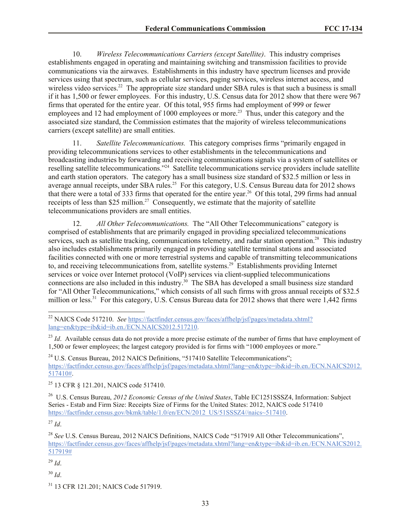10. *Wireless Telecommunications Carriers (except Satellite)*. This industry comprises establishments engaged in operating and maintaining switching and transmission facilities to provide communications via the airwaves. Establishments in this industry have spectrum licenses and provide services using that spectrum, such as cellular services, paging services, wireless internet access, and wireless video services.<sup>22</sup> The appropriate size standard under SBA rules is that such a business is small if it has 1,500 or fewer employees. For this industry, U.S. Census data for 2012 show that there were 967 firms that operated for the entire year. Of this total, 955 firms had employment of 999 or fewer employees and 12 had employment of 1000 employees or more.<sup>23</sup> Thus, under this category and the associated size standard, the Commission estimates that the majority of wireless telecommunications carriers (except satellite) are small entities.

11. *Satellite Telecommunications.* This category comprises firms "primarily engaged in providing telecommunications services to other establishments in the telecommunications and broadcasting industries by forwarding and receiving communications signals via a system of satellites or reselling satellite telecommunications."<sup>24</sup> Satellite telecommunications service providers include satellite and earth station operators. The category has a small business size standard of \$32.5 million or less in average annual receipts, under SBA rules.<sup>25</sup> For this category, U.S. Census Bureau data for 2012 shows that there were a total of 333 firms that operated for the entire year.<sup>26</sup> Of this total, 299 firms had annual receipts of less than \$25 million.<sup>27</sup> Consequently, we estimate that the majority of satellite telecommunications providers are small entities.

12. *All Other Telecommunications.* The "All Other Telecommunications" category is comprised of establishments that are primarily engaged in providing specialized telecommunications services, such as satellite tracking, communications telemetry, and radar station operation.<sup>28</sup> This industry also includes establishments primarily engaged in providing satellite terminal stations and associated facilities connected with one or more terrestrial systems and capable of transmitting telecommunications to, and receiving telecommunications from, satellite systems.<sup>29</sup> Establishments providing Internet services or voice over Internet protocol (VoIP) services via client-supplied telecommunications connections are also included in this industry.<sup>30</sup> The SBA has developed a small business size standard for "All Other Telecommunications," which consists of all such firms with gross annual receipts of \$32.5 million or less.<sup>31</sup> For this category, U.S. Census Bureau data for 2012 shows that there were 1,442 firms

<sup>27</sup> *Id*.

<sup>22</sup> NAICS Code 517210. *See* https://factfinder.census.gov/faces/affhelp/jsf/pages/metadata.xhtml? lang=en&type=ib&id=ib.en./ECN.NAICS2012.517210.

<sup>&</sup>lt;sup>23</sup> *Id.* Available census data do not provide a more precise estimate of the number of firms that have employment of 1,500 or fewer employees; the largest category provided is for firms with "1000 employees or more."

<sup>&</sup>lt;sup>24</sup> U.S. Census Bureau, 2012 NAICS Definitions, "517410 Satellite Telecommunications"; https://factfinder.census.gov/faces/affhelp/jsf/pages/metadata.xhtml?lang=en&type=ib&id=ib.en./ECN.NAICS2012. 517410#.

<sup>25</sup> 13 CFR § 121.201, NAICS code 517410.

<sup>26</sup> U.S. Census Bureau, *2012 Economic Census of the United States*, Table EC1251SSSZ4, Information: Subject Series - Estab and Firm Size: Receipts Size of Firms for the United States: 2012, NAICS code 517410 https://factfinder.census.gov/bkmk/table/1.0/en/ECN/2012\_US/51SSSZ4//naics~517410.

<sup>28</sup> *See* U.S. Census Bureau, 2012 NAICS Definitions, NAICS Code "517919 All Other Telecommunications", https://factfinder.census.gov/faces/affhelp/jsf/pages/metadata.xhtml?lang=en&type=ib&id=ib.en./ECN.NAICS2012. 517919#

 $^{29}$  *Id.* 

<sup>30</sup> *Id*.

<sup>&</sup>lt;sup>31</sup> 13 CFR 121.201; NAICS Code 517919.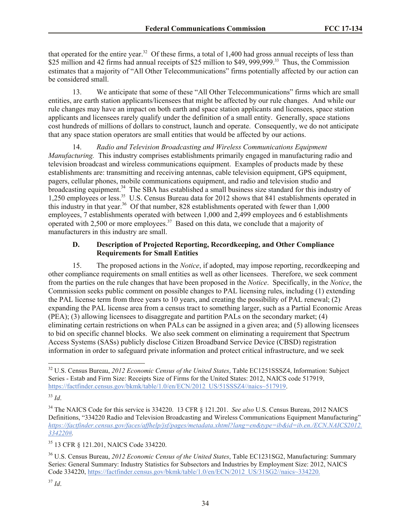that operated for the entire year.<sup>32</sup> Of these firms, a total of 1,400 had gross annual receipts of less than \$25 million and 42 firms had annual receipts of \$25 million to \$49, 999, 999.<sup>33</sup> Thus, the Commission estimates that a majority of "All Other Telecommunications" firms potentially affected by our action can be considered small.

13. We anticipate that some of these "All Other Telecommunications" firms which are small entities, are earth station applicants/licensees that might be affected by our rule changes. And while our rule changes may have an impact on both earth and space station applicants and licensees, space station applicants and licensees rarely qualify under the definition of a small entity. Generally, space stations cost hundreds of millions of dollars to construct, launch and operate. Consequently, we do not anticipate that any space station operators are small entities that would be affected by our actions.

14. *Radio and Television Broadcasting and Wireless Communications Equipment Manufacturing.* This industry comprises establishments primarily engaged in manufacturing radio and television broadcast and wireless communications equipment. Examples of products made by these establishments are: transmitting and receiving antennas, cable television equipment, GPS equipment, pagers, cellular phones, mobile communications equipment, and radio and television studio and broadcasting equipment.<sup>34</sup> The SBA has established a small business size standard for this industry of 1,250 employees or less.<sup>35</sup> U.S. Census Bureau data for 2012 shows that 841 establishments operated in this industry in that year.<sup>36</sup> Of that number, 828 establishments operated with fewer than  $1,000$ employees, 7 establishments operated with between 1,000 and 2,499 employees and 6 establishments operated with 2,500 or more employees.<sup>37</sup> Based on this data, we conclude that a majority of manufacturers in this industry are small.

#### **D. Description of Projected Reporting, Recordkeeping, and Other Compliance Requirements for Small Entities**

15. The proposed actions in the *Notice*, if adopted, may impose reporting, recordkeeping and other compliance requirements on small entities as well as other licensees. Therefore, we seek comment from the parties on the rule changes that have been proposed in the *Notice*. Specifically, in the *Notice*, the Commission seeks public comment on possible changes to PAL licensing rules, including (1) extending the PAL license term from three years to 10 years, and creating the possibility of PAL renewal; (2) expanding the PAL license area from a census tract to something larger, such as a Partial Economic Areas (PEA); (3) allowing licensees to disaggregate and partition PALs on the secondary market; (4) eliminating certain restrictions on when PALs can be assigned in a given area; and (5) allowing licensees to bid on specific channel blocks. We also seek comment on eliminating a requirement that Spectrum Access Systems (SASs) publicly disclose Citizen Broadband Service Device (CBSD) registration information in order to safeguard private information and protect critical infrastructure, and we seek

<sup>35</sup> 13 CFR § 121.201, NAICS Code 334220.

l <sup>32</sup> U.S. Census Bureau, *2012 Economic Census of the United States*, Table EC1251SSSZ4, Information: Subject Series - Estab and Firm Size: Receipts Size of Firms for the United States: 2012, NAICS code 517919, https://factfinder.census.gov/bkmk/table/1.0/en/ECN/2012\_US/51SSSZ4//naics~517919.

<sup>33</sup> *Id*.

<sup>&</sup>lt;sup>34</sup> The NAICS Code for this service is 334220. 13 CFR § 121.201. *See also* U.S. Census Bureau, 2012 NAICS Definitions, "334220 Radio and Television Broadcasting and Wireless Communications Equipment Manufacturing" *https://factfinder.census.gov/faces/affhelp/jsf/pages/metadata.xhtml?lang=en&type=ib&id=ib.en./ECN.NAICS2012. 334220#.* 

<sup>36</sup> U.S. Census Bureau, *2012 Economic Census of the United States*, Table EC1231SG2, Manufacturing: Summary Series: General Summary: Industry Statistics for Subsectors and Industries by Employment Size: 2012, NAICS Code 334220, https://factfinder.census.gov/bkmk/table/1.0/en/ECN/2012\_US/31SG2//naics~334220.

 $37$  *Id.*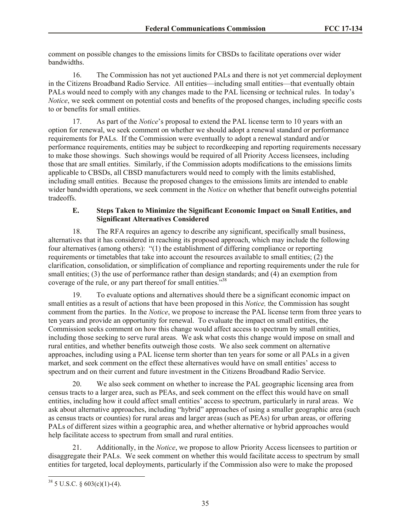comment on possible changes to the emissions limits for CBSDs to facilitate operations over wider bandwidths.

16. The Commission has not yet auctioned PALs and there is not yet commercial deployment in the Citizens Broadband Radio Service. All entities—including small entities—that eventually obtain PALs would need to comply with any changes made to the PAL licensing or technical rules. In today's *Notice*, we seek comment on potential costs and benefits of the proposed changes, including specific costs to or benefits for small entities.

17. As part of the *Notice*'s proposal to extend the PAL license term to 10 years with an option for renewal, we seek comment on whether we should adopt a renewal standard or performance requirements for PALs. If the Commission were eventually to adopt a renewal standard and/or performance requirements, entities may be subject to recordkeeping and reporting requirements necessary to make those showings. Such showings would be required of all Priority Access licensees, including those that are small entities. Similarly, if the Commission adopts modifications to the emissions limits applicable to CBSDs, all CBSD manufacturers would need to comply with the limits established, including small entities. Because the proposed changes to the emissions limits are intended to enable wider bandwidth operations, we seek comment in the *Notice* on whether that benefit outweighs potential tradeoffs.

#### **E. Steps Taken to Minimize the Significant Economic Impact on Small Entities, and Significant Alternatives Considered**

18. The RFA requires an agency to describe any significant, specifically small business, alternatives that it has considered in reaching its proposed approach, which may include the following four alternatives (among others): "(1) the establishment of differing compliance or reporting requirements or timetables that take into account the resources available to small entities; (2) the clarification, consolidation, or simplification of compliance and reporting requirements under the rule for small entities; (3) the use of performance rather than design standards; and (4) an exemption from coverage of the rule, or any part thereof for small entities."<sup>38</sup>

19. To evaluate options and alternatives should there be a significant economic impact on small entities as a result of actions that have been proposed in this *Notice,* the Commission has sought comment from the parties. In the *Notice*, we propose to increase the PAL license term from three years to ten years and provide an opportunity for renewal. To evaluate the impact on small entities, the Commission seeks comment on how this change would affect access to spectrum by small entities, including those seeking to serve rural areas. We ask what costs this change would impose on small and rural entities, and whether benefits outweigh those costs. We also seek comment on alternative approaches, including using a PAL license term shorter than ten years for some or all PALs in a given market, and seek comment on the effect these alternatives would have on small entities' access to spectrum and on their current and future investment in the Citizens Broadband Radio Service.

20. We also seek comment on whether to increase the PAL geographic licensing area from census tracts to a larger area, such as PEAs, and seek comment on the effect this would have on small entities, including how it could affect small entities' access to spectrum, particularly in rural areas. We ask about alternative approaches, including "hybrid" approaches of using a smaller geographic area (such as census tracts or counties) for rural areas and larger areas (such as PEAs) for urban areas, or offering PALs of different sizes within a geographic area, and whether alternative or hybrid approaches would help facilitate access to spectrum from small and rural entities.

21. Additionally, in the *Notice*, we propose to allow Priority Access licensees to partition or disaggregate their PALs. We seek comment on whether this would facilitate access to spectrum by small entities for targeted, local deployments, particularly if the Commission also were to make the proposed

 $38$  5 U.S.C. § 603(c)(1)-(4).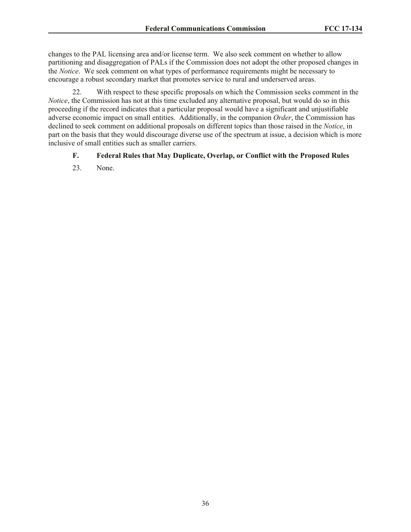changes to the PAL licensing area and/or license term. We also seek comment on whether to allow partitioning and disaggregation of PALs if the Commission does not adopt the other proposed changes in the *Notice*. We seek comment on what types of performance requirements might be necessary to encourage a robust secondary market that promotes service to rural and underserved areas.

22. With respect to these specific proposals on which the Commission seeks comment in the *Notice*, the Commission has not at this time excluded any alternative proposal, but would do so in this proceeding if the record indicates that a particular proposal would have a significant and unjustifiable adverse economic impact on small entities. Additionally, in the companion *Order*, the Commission has declined to seek comment on additional proposals on different topics than those raised in the *Notice*, in part on the basis that they would discourage diverse use of the spectrum at issue, a decision which is more inclusive of small entities such as smaller carriers.

## **F. Federal Rules that May Duplicate, Overlap, or Conflict with the Proposed Rules**

23. None.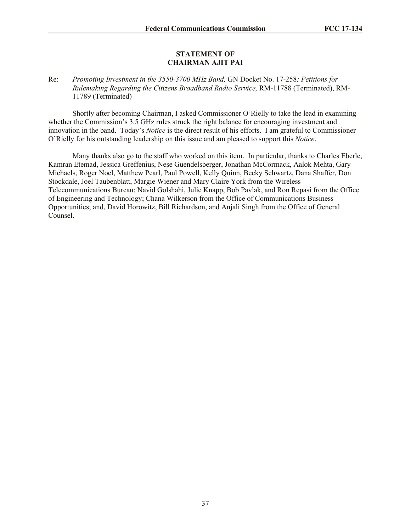#### **STATEMENT OF CHAIRMAN AJIT PAI**

#### Re: *Promoting Investment in the 3550-3700 MHz Band,* GN Docket No. 17-258*; Petitions for Rulemaking Regarding the Citizens Broadband Radio Service,* RM-11788 (Terminated), RM-11789 (Terminated)

Shortly after becoming Chairman, I asked Commissioner O'Rielly to take the lead in examining whether the Commission's 3.5 GHz rules struck the right balance for encouraging investment and innovation in the band. Today's *Notice* is the direct result of his efforts. I am grateful to Commissioner O'Rielly for his outstanding leadership on this issue and am pleased to support this *Notice*.

Many thanks also go to the staff who worked on this item. In particular, thanks to Charles Eberle, Kamran Etemad, Jessica Greffenius, Neşe Guendelsberger, Jonathan McCormack, Aalok Mehta, Gary Michaels, Roger Noel, Matthew Pearl, Paul Powell, Kelly Quinn, Becky Schwartz, Dana Shaffer, Don Stockdale, Joel Taubenblatt, Margie Wiener and Mary Claire York from the Wireless Telecommunications Bureau; Navid Golshahi, Julie Knapp, Bob Pavlak, and Ron Repasi from the Office of Engineering and Technology; Chana Wilkerson from the Office of Communications Business Opportunities; and, David Horowitz, Bill Richardson, and Anjali Singh from the Office of General Counsel.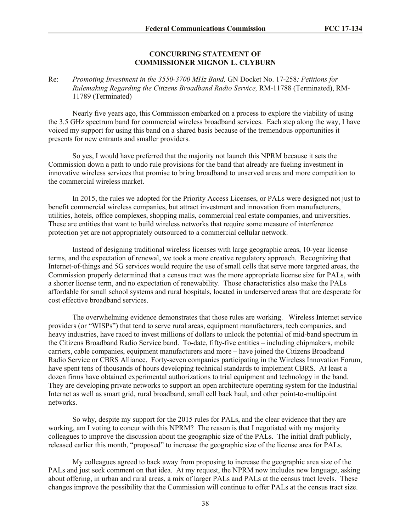#### **CONCURRING STATEMENT OF COMMISSIONER MIGNON L. CLYBURN**

Re: *Promoting Investment in the 3550-3700 MHz Band,* GN Docket No. 17-258*; Petitions for Rulemaking Regarding the Citizens Broadband Radio Service,* RM-11788 (Terminated), RM-11789 (Terminated)

Nearly five years ago, this Commission embarked on a process to explore the viability of using the 3.5 GHz spectrum band for commercial wireless broadband services. Each step along the way, I have voiced my support for using this band on a shared basis because of the tremendous opportunities it presents for new entrants and smaller providers.

So yes, I would have preferred that the majority not launch this NPRM because it sets the Commission down a path to undo rule provisions for the band that already are fueling investment in innovative wireless services that promise to bring broadband to unserved areas and more competition to the commercial wireless market.

In 2015, the rules we adopted for the Priority Access Licenses, or PALs were designed not just to benefit commercial wireless companies, but attract investment and innovation from manufacturers, utilities, hotels, office complexes, shopping malls, commercial real estate companies, and universities. These are entities that want to build wireless networks that require some measure of interference protection yet are not appropriately outsourced to a commercial cellular network.

Instead of designing traditional wireless licenses with large geographic areas, 10-year license terms, and the expectation of renewal, we took a more creative regulatory approach. Recognizing that Internet-of-things and 5G services would require the use of small cells that serve more targeted areas, the Commission properly determined that a census tract was the more appropriate license size for PALs, with a shorter license term, and no expectation of renewability. Those characteristics also make the PALs affordable for small school systems and rural hospitals, located in underserved areas that are desperate for cost effective broadband services.

The overwhelming evidence demonstrates that those rules are working. Wireless Internet service providers (or "WISPs") that tend to serve rural areas, equipment manufacturers, tech companies, and heavy industries, have raced to invest millions of dollars to unlock the potential of mid-band spectrum in the Citizens Broadband Radio Service band. To-date, fifty-five entities – including chipmakers, mobile carriers, cable companies, equipment manufacturers and more – have joined the Citizens Broadband Radio Service or CBRS Alliance. Forty-seven companies participating in the Wireless Innovation Forum, have spent tens of thousands of hours developing technical standards to implement CBRS. At least a dozen firms have obtained experimental authorizations to trial equipment and technology in the band. They are developing private networks to support an open architecture operating system for the Industrial Internet as well as smart grid, rural broadband, small cell back haul, and other point-to-multipoint networks.

So why, despite my support for the 2015 rules for PALs, and the clear evidence that they are working, am I voting to concur with this NPRM? The reason is that I negotiated with my majority colleagues to improve the discussion about the geographic size of the PALs. The initial draft publicly, released earlier this month, "proposed" to increase the geographic size of the license area for PALs.

My colleagues agreed to back away from proposing to increase the geographic area size of the PALs and just seek comment on that idea. At my request, the NPRM now includes new language, asking about offering, in urban and rural areas, a mix of larger PALs and PALs at the census tract levels. These changes improve the possibility that the Commission will continue to offer PALs at the census tract size.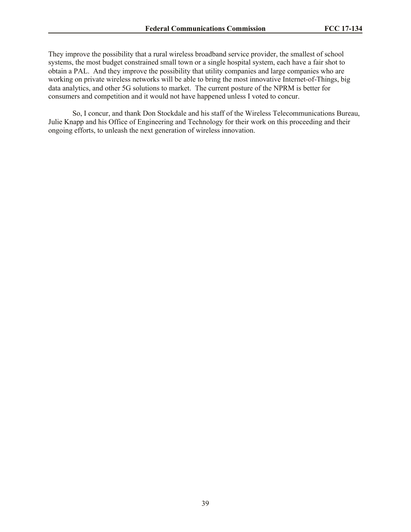They improve the possibility that a rural wireless broadband service provider, the smallest of school systems, the most budget constrained small town or a single hospital system, each have a fair shot to obtain a PAL. And they improve the possibility that utility companies and large companies who are working on private wireless networks will be able to bring the most innovative Internet-of-Things, big data analytics, and other 5G solutions to market. The current posture of the NPRM is better for consumers and competition and it would not have happened unless I voted to concur.

So, I concur, and thank Don Stockdale and his staff of the Wireless Telecommunications Bureau, Julie Knapp and his Office of Engineering and Technology for their work on this proceeding and their ongoing efforts, to unleash the next generation of wireless innovation.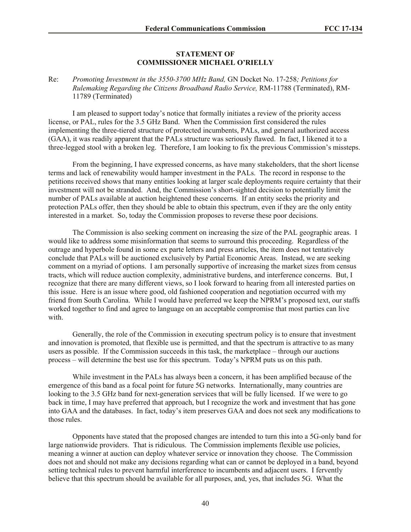#### **STATEMENT OF COMMISSIONER MICHAEL O'RIELLY**

#### Re: *Promoting Investment in the 3550-3700 MHz Band,* GN Docket No. 17-258*; Petitions for Rulemaking Regarding the Citizens Broadband Radio Service,* RM-11788 (Terminated), RM-11789 (Terminated)

I am pleased to support today's notice that formally initiates a review of the priority access license, or PAL, rules for the 3.5 GHz Band. When the Commission first considered the rules implementing the three-tiered structure of protected incumbents, PALs, and general authorized access (GAA), it was readily apparent that the PALs structure was seriously flawed. In fact, I likened it to a three-legged stool with a broken leg. Therefore, I am looking to fix the previous Commission's missteps.

From the beginning, I have expressed concerns, as have many stakeholders, that the short license terms and lack of renewability would hamper investment in the PALs. The record in response to the petitions received shows that many entities looking at larger scale deployments require certainty that their investment will not be stranded. And, the Commission's short-sighted decision to potentially limit the number of PALs available at auction heightened these concerns. If an entity seeks the priority and protection PALs offer, then they should be able to obtain this spectrum, even if they are the only entity interested in a market. So, today the Commission proposes to reverse these poor decisions.

The Commission is also seeking comment on increasing the size of the PAL geographic areas. I would like to address some misinformation that seems to surround this proceeding. Regardless of the outrage and hyperbole found in some ex parte letters and press articles, the item does not tentatively conclude that PALs will be auctioned exclusively by Partial Economic Areas. Instead, we are seeking comment on a myriad of options. I am personally supportive of increasing the market sizes from census tracts, which will reduce auction complexity, administrative burdens, and interference concerns. But, I recognize that there are many different views, so I look forward to hearing from all interested parties on this issue. Here is an issue where good, old fashioned cooperation and negotiation occurred with my friend from South Carolina. While I would have preferred we keep the NPRM's proposed text, our staffs worked together to find and agree to language on an acceptable compromise that most parties can live with.

Generally, the role of the Commission in executing spectrum policy is to ensure that investment and innovation is promoted, that flexible use is permitted, and that the spectrum is attractive to as many users as possible. If the Commission succeeds in this task, the marketplace – through our auctions process – will determine the best use for this spectrum. Today's NPRM puts us on this path.

While investment in the PALs has always been a concern, it has been amplified because of the emergence of this band as a focal point for future 5G networks. Internationally, many countries are looking to the 3.5 GHz band for next-generation services that will be fully licensed. If we were to go back in time, I may have preferred that approach, but I recognize the work and investment that has gone into GAA and the databases. In fact, today's item preserves GAA and does not seek any modifications to those rules.

Opponents have stated that the proposed changes are intended to turn this into a 5G-only band for large nationwide providers. That is ridiculous. The Commission implements flexible use policies, meaning a winner at auction can deploy whatever service or innovation they choose. The Commission does not and should not make any decisions regarding what can or cannot be deployed in a band, beyond setting technical rules to prevent harmful interference to incumbents and adjacent users. I fervently believe that this spectrum should be available for all purposes, and, yes, that includes 5G. What the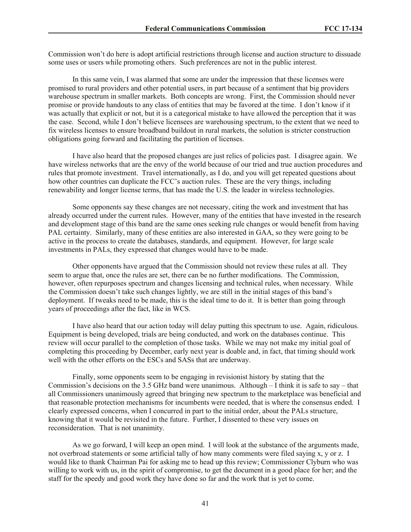Commission won't do here is adopt artificial restrictions through license and auction structure to dissuade some uses or users while promoting others. Such preferences are not in the public interest.

In this same vein, I was alarmed that some are under the impression that these licenses were promised to rural providers and other potential users, in part because of a sentiment that big providers warehouse spectrum in smaller markets. Both concepts are wrong. First, the Commission should never promise or provide handouts to any class of entities that may be favored at the time. I don't know if it was actually that explicit or not, but it is a categorical mistake to have allowed the perception that it was the case. Second, while I don't believe licensees are warehousing spectrum, to the extent that we need to fix wireless licenses to ensure broadband buildout in rural markets, the solution is stricter construction obligations going forward and facilitating the partition of licenses.

I have also heard that the proposed changes are just relics of policies past. I disagree again. We have wireless networks that are the envy of the world because of our tried and true auction procedures and rules that promote investment. Travel internationally, as I do, and you will get repeated questions about how other countries can duplicate the FCC's auction rules. These are the very things, including renewability and longer license terms, that has made the U.S. the leader in wireless technologies.

Some opponents say these changes are not necessary, citing the work and investment that has already occurred under the current rules. However, many of the entities that have invested in the research and development stage of this band are the same ones seeking rule changes or would benefit from having PAL certainty. Similarly, many of these entities are also interested in GAA, so they were going to be active in the process to create the databases, standards, and equipment. However, for large scale investments in PALs, they expressed that changes would have to be made.

Other opponents have argued that the Commission should not review these rules at all. They seem to argue that, once the rules are set, there can be no further modifications. The Commission, however, often repurposes spectrum and changes licensing and technical rules, when necessary. While the Commission doesn't take such changes lightly, we are still in the initial stages of this band's deployment. If tweaks need to be made, this is the ideal time to do it. It is better than going through years of proceedings after the fact, like in WCS.

I have also heard that our action today will delay putting this spectrum to use. Again, ridiculous. Equipment is being developed, trials are being conducted, and work on the databases continue. This review will occur parallel to the completion of those tasks. While we may not make my initial goal of completing this proceeding by December, early next year is doable and, in fact, that timing should work well with the other efforts on the ESCs and SASs that are underway.

Finally, some opponents seem to be engaging in revisionist history by stating that the Commission's decisions on the 3.5 GHz band were unanimous. Although – I think it is safe to say – that all Commissioners unanimously agreed that bringing new spectrum to the marketplace was beneficial and that reasonable protection mechanisms for incumbents were needed, that is where the consensus ended. I clearly expressed concerns, when I concurred in part to the initial order, about the PALs structure, knowing that it would be revisited in the future. Further, I dissented to these very issues on reconsideration. That is not unanimity.

As we go forward, I will keep an open mind. I will look at the substance of the arguments made, not overbroad statements or some artificial tally of how many comments were filed saying x, y or z. I would like to thank Chairman Pai for asking me to head up this review; Commissioner Clyburn who was willing to work with us, in the spirit of compromise, to get the document in a good place for her; and the staff for the speedy and good work they have done so far and the work that is yet to come.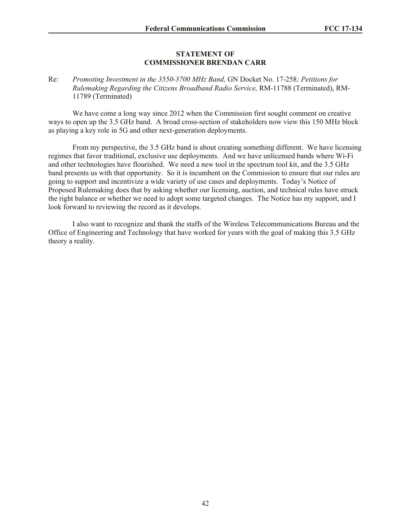#### **STATEMENT OF COMMISSIONER BRENDAN CARR**

Re: *Promoting Investment in the 3550-3700 MHz Band,* GN Docket No. 17-258*; Petitions for Rulemaking Regarding the Citizens Broadband Radio Service,* RM-11788 (Terminated), RM-11789 (Terminated)

We have come a long way since 2012 when the Commission first sought comment on creative ways to open up the 3.5 GHz band. A broad cross-section of stakeholders now view this 150 MHz block as playing a key role in 5G and other next-generation deployments.

From my perspective, the 3.5 GHz band is about creating something different. We have licensing regimes that favor traditional, exclusive use deployments. And we have unlicensed bands where Wi-Fi and other technologies have flourished. We need a new tool in the spectrum tool kit, and the 3.5 GHz band presents us with that opportunity. So it is incumbent on the Commission to ensure that our rules are going to support and incentivize a wide variety of use cases and deployments. Today's Notice of Proposed Rulemaking does that by asking whether our licensing, auction, and technical rules have struck the right balance or whether we need to adopt some targeted changes. The Notice has my support, and I look forward to reviewing the record as it develops.

I also want to recognize and thank the staffs of the Wireless Telecommunications Bureau and the Office of Engineering and Technology that have worked for years with the goal of making this 3.5 GHz theory a reality.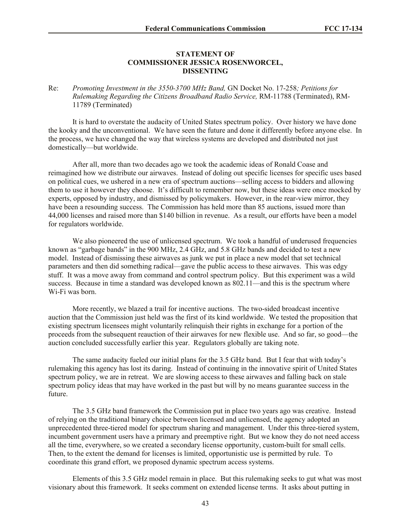#### **STATEMENT OF COMMISSIONER JESSICA ROSENWORCEL, DISSENTING**

#### Re: *Promoting Investment in the 3550-3700 MHz Band,* GN Docket No. 17-258*; Petitions for Rulemaking Regarding the Citizens Broadband Radio Service,* RM-11788 (Terminated), RM-11789 (Terminated)

It is hard to overstate the audacity of United States spectrum policy. Over history we have done the kooky and the unconventional. We have seen the future and done it differently before anyone else. In the process, we have changed the way that wireless systems are developed and distributed not just domestically—but worldwide.

After all, more than two decades ago we took the academic ideas of Ronald Coase and reimagined how we distribute our airwaves. Instead of doling out specific licenses for specific uses based on political cues, we ushered in a new era of spectrum auctions—selling access to bidders and allowing them to use it however they choose. It's difficult to remember now, but these ideas were once mocked by experts, opposed by industry, and dismissed by policymakers. However, in the rear-view mirror, they have been a resounding success. The Commission has held more than 85 auctions, issued more than 44,000 licenses and raised more than \$140 billion in revenue. As a result, our efforts have been a model for regulators worldwide.

We also pioneered the use of unlicensed spectrum. We took a handful of underused frequencies known as "garbage bands" in the 900 MHz, 2.4 GHz, and 5.8 GHz bands and decided to test a new model. Instead of dismissing these airwaves as junk we put in place a new model that set technical parameters and then did something radical—gave the public access to these airwaves. This was edgy stuff. It was a move away from command and control spectrum policy. But this experiment was a wild success. Because in time a standard was developed known as 802.11—and this is the spectrum where Wi-Fi was born.

More recently, we blazed a trail for incentive auctions. The two-sided broadcast incentive auction that the Commission just held was the first of its kind worldwide. We tested the proposition that existing spectrum licensees might voluntarily relinquish their rights in exchange for a portion of the proceeds from the subsequent reauction of their airwaves for new flexible use. And so far, so good—the auction concluded successfully earlier this year. Regulators globally are taking note.

The same audacity fueled our initial plans for the 3.5 GHz band. But I fear that with today's rulemaking this agency has lost its daring. Instead of continuing in the innovative spirit of United States spectrum policy, we are in retreat. We are slowing access to these airwaves and falling back on stale spectrum policy ideas that may have worked in the past but will by no means guarantee success in the future.

The 3.5 GHz band framework the Commission put in place two years ago was creative. Instead of relying on the traditional binary choice between licensed and unlicensed, the agency adopted an unprecedented three-tiered model for spectrum sharing and management. Under this three-tiered system, incumbent government users have a primary and preemptive right. But we know they do not need access all the time, everywhere, so we created a secondary license opportunity, custom-built for small cells. Then, to the extent the demand for licenses is limited, opportunistic use is permitted by rule. To coordinate this grand effort, we proposed dynamic spectrum access systems.

Elements of this 3.5 GHz model remain in place. But this rulemaking seeks to gut what was most visionary about this framework. It seeks comment on extended license terms. It asks about putting in